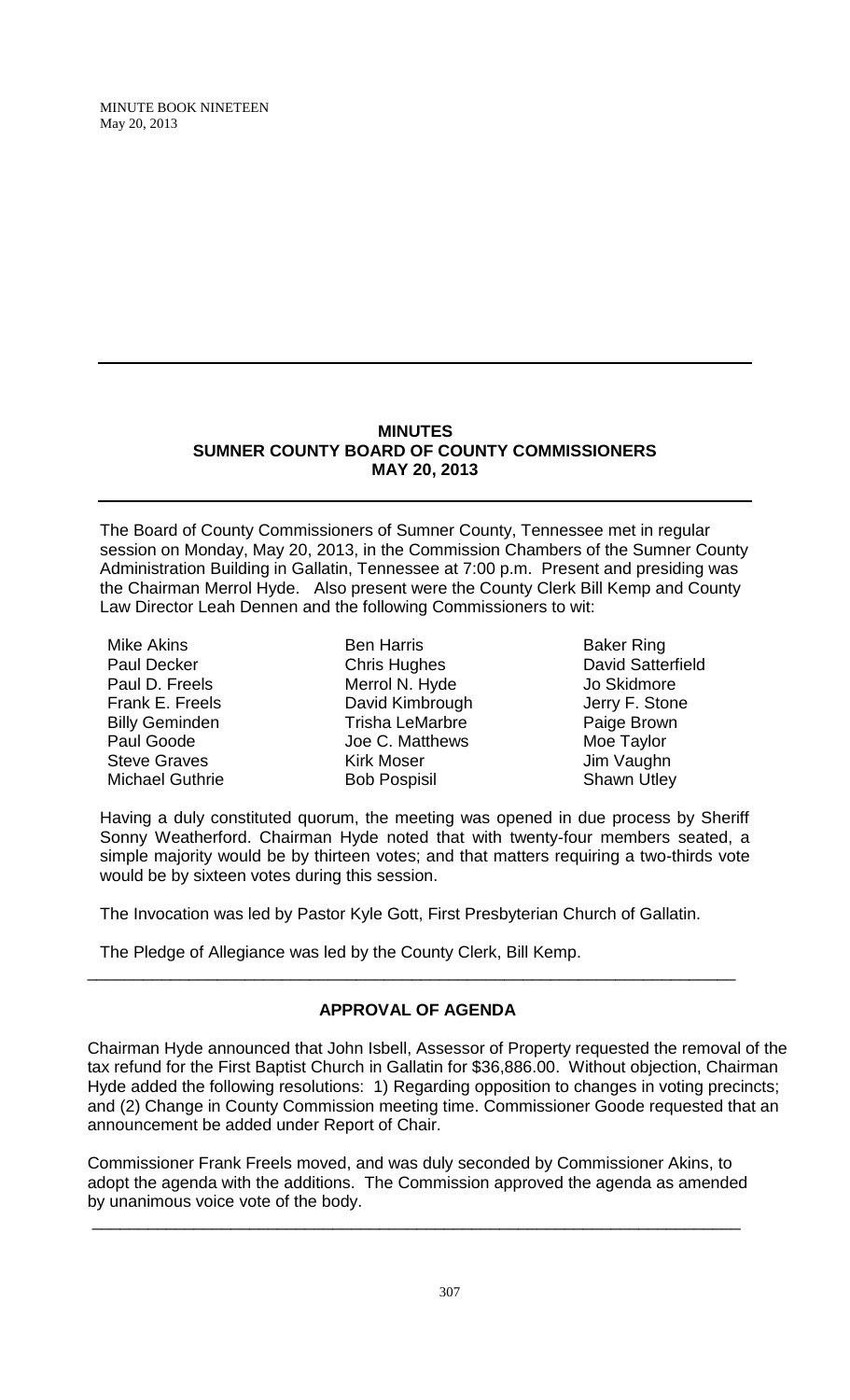## **MINUTES SUMNER COUNTY BOARD OF COUNTY COMMISSIONERS MAY 20, 2013**

The Board of County Commissioners of Sumner County, Tennessee met in regular session on Monday, May 20, 2013, in the Commission Chambers of the Sumner County Administration Building in Gallatin, Tennessee at 7:00 p.m. Present and presiding was the Chairman Merrol Hyde. Also present were the County Clerk Bill Kemp and County Law Director Leah Dennen and the following Commissioners to wit:

Mike Akins Paul Decker Paul D. Freels Frank E. Freels Billy Geminden Paul Goode Steve Graves Michael Guthrie

Ben Harris Chris Hughes Merrol N. Hyde David Kimbrough Trisha LeMarbre Joe C. Matthews Kirk Moser Bob Pospisil

Baker Ring David Satterfield Jo Skidmore Jerry F. Stone Paige Brown Moe Taylor Jim Vaughn Shawn Utley

Having a duly constituted quorum, the meeting was opened in due process by Sheriff Sonny Weatherford. Chairman Hyde noted that with twenty-four members seated, a simple majority would be by thirteen votes; and that matters requiring a two-thirds vote would be by sixteen votes during this session.

The Invocation was led by Pastor Kyle Gott, First Presbyterian Church of Gallatin.

The Pledge of Allegiance was led by the County Clerk, Bill Kemp.

# **APPROVAL OF AGENDA**

\_\_\_\_\_\_\_\_\_\_\_\_\_\_\_\_\_\_\_\_\_\_\_\_\_\_\_\_\_\_\_\_\_\_\_\_\_\_\_\_\_\_\_\_\_\_\_\_\_\_\_\_\_\_\_\_\_\_\_\_\_\_\_\_\_\_\_\_\_\_

Chairman Hyde announced that John Isbell, Assessor of Property requested the removal of the tax refund for the First Baptist Church in Gallatin for \$36,886.00. Without objection, Chairman Hyde added the following resolutions: 1) Regarding opposition to changes in voting precincts; and (2) Change in County Commission meeting time. Commissioner Goode requested that an announcement be added under Report of Chair.

Commissioner Frank Freels moved, and was duly seconded by Commissioner Akins, to adopt the agenda with the additions. The Commission approved the agenda as amended by unanimous voice vote of the body. \_\_\_\_\_\_\_\_\_\_\_\_\_\_\_\_\_\_\_\_\_\_\_\_\_\_\_\_\_\_\_\_\_\_\_\_\_\_\_\_\_\_\_\_\_\_\_\_\_\_\_\_\_\_\_\_\_\_\_\_\_\_\_\_\_\_\_\_\_\_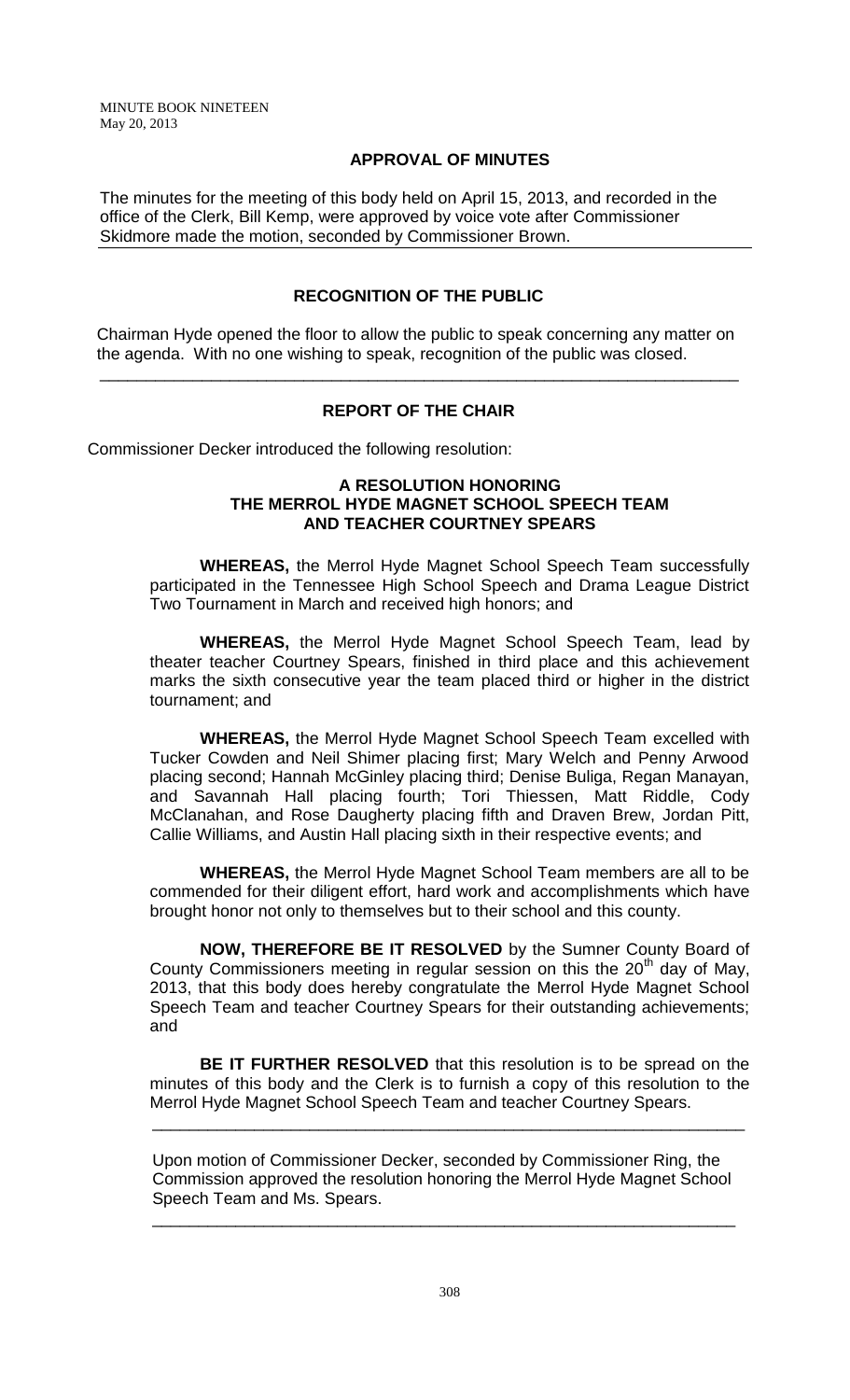## **APPROVAL OF MINUTES**

The minutes for the meeting of this body held on April 15, 2013, and recorded in the office of the Clerk, Bill Kemp, were approved by voice vote after Commissioner Skidmore made the motion, seconded by Commissioner Brown.

# **RECOGNITION OF THE PUBLIC**

 Chairman Hyde opened the floor to allow the public to speak concerning any matter on the agenda. With no one wishing to speak, recognition of the public was closed.

\_\_\_\_\_\_\_\_\_\_\_\_\_\_\_\_\_\_\_\_\_\_\_\_\_\_\_\_\_\_\_\_\_\_\_\_\_\_\_\_\_\_\_\_\_\_\_\_\_\_\_\_\_\_\_\_\_\_\_\_\_\_\_\_\_\_\_\_\_

## **REPORT OF THE CHAIR**

Commissioner Decker introduced the following resolution:

#### **A RESOLUTION HONORING THE MERROL HYDE MAGNET SCHOOL SPEECH TEAM AND TEACHER COURTNEY SPEARS**

**WHEREAS,** the Merrol Hyde Magnet School Speech Team successfully participated in the Tennessee High School Speech and Drama League District Two Tournament in March and received high honors; and

**WHEREAS,** the Merrol Hyde Magnet School Speech Team, lead by theater teacher Courtney Spears, finished in third place and this achievement marks the sixth consecutive year the team placed third or higher in the district tournament; and

**WHEREAS,** the Merrol Hyde Magnet School Speech Team excelled with Tucker Cowden and Neil Shimer placing first; Mary Welch and Penny Arwood placing second; Hannah McGinley placing third; Denise Buliga, Regan Manayan, and Savannah Hall placing fourth; Tori Thiessen, Matt Riddle, Cody McClanahan, and Rose Daugherty placing fifth and Draven Brew, Jordan Pitt, Callie Williams, and Austin Hall placing sixth in their respective events; and

**WHEREAS,** the Merrol Hyde Magnet School Team members are all to be commended for their diligent effort, hard work and accomplishments which have brought honor not only to themselves but to their school and this county.

**NOW, THEREFORE BE IT RESOLVED** by the Sumner County Board of County Commissioners meeting in regular session on this the  $20<sup>th</sup>$  day of May, 2013, that this body does hereby congratulate the Merrol Hyde Magnet School Speech Team and teacher Courtney Spears for their outstanding achievements; and

**BE IT FURTHER RESOLVED** that this resolution is to be spread on the minutes of this body and the Clerk is to furnish a copy of this resolution to the Merrol Hyde Magnet School Speech Team and teacher Courtney Spears.

 Upon motion of Commissioner Decker, seconded by Commissioner Ring, the Commission approved the resolution honoring the Merrol Hyde Magnet School Speech Team and Ms. Spears.

\_\_\_\_\_\_\_\_\_\_\_\_\_\_\_\_\_\_\_\_\_\_\_\_\_\_\_\_\_\_\_\_\_\_\_\_\_\_\_\_\_\_\_\_\_\_\_\_\_\_\_\_\_\_\_\_\_\_\_\_\_\_\_\_

\_\_\_\_\_\_\_\_\_\_\_\_\_\_\_\_\_\_\_\_\_\_\_\_\_\_\_\_\_\_\_\_\_\_\_\_\_\_\_\_\_\_\_\_\_\_\_\_\_\_\_\_\_\_\_\_\_\_\_\_\_\_\_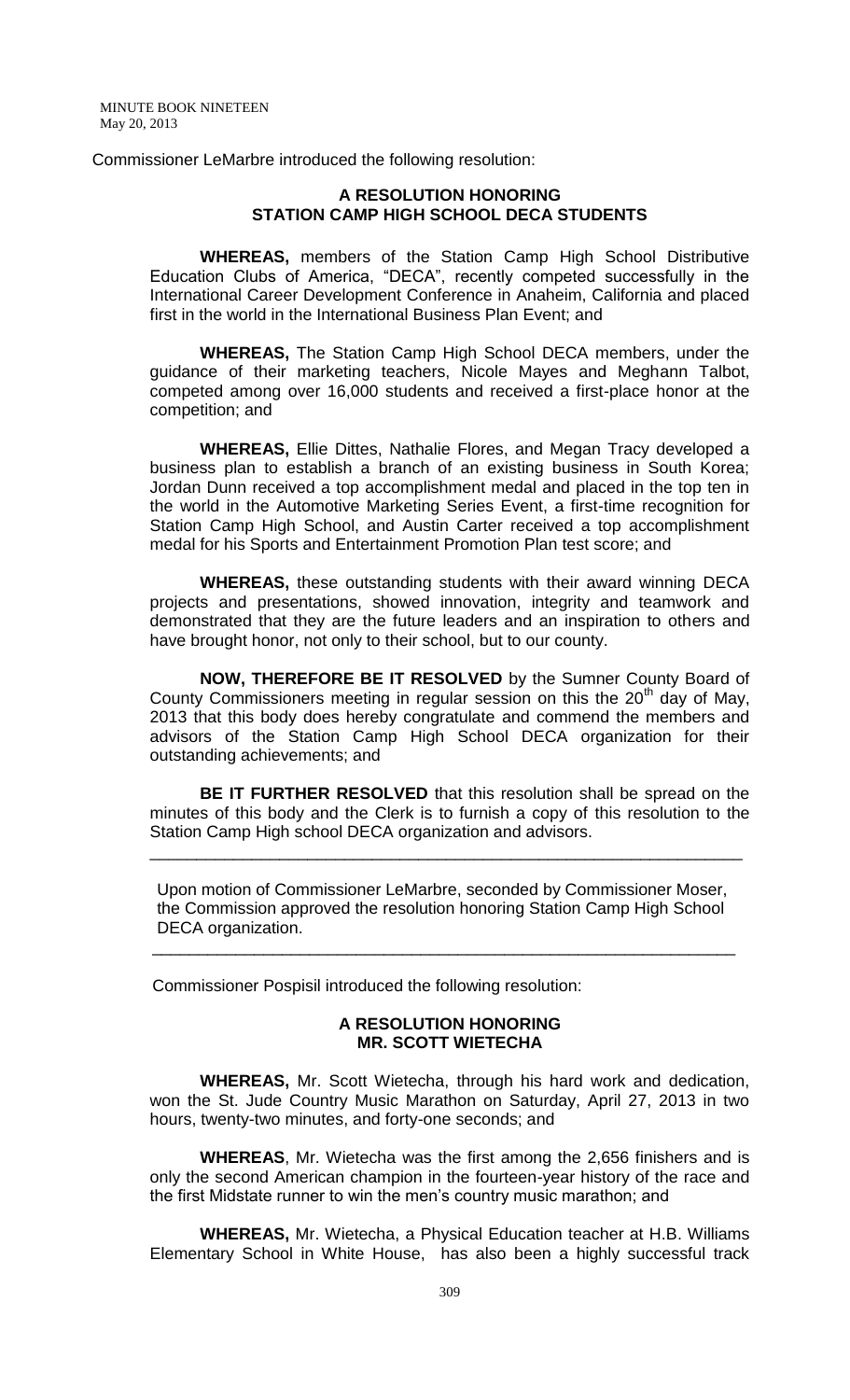Commissioner LeMarbre introduced the following resolution:

## **A RESOLUTION HONORING STATION CAMP HIGH SCHOOL DECA STUDENTS**

**WHEREAS,** members of the Station Camp High School Distributive Education Clubs of America, "DECA", recently competed successfully in the International Career Development Conference in Anaheim, California and placed first in the world in the International Business Plan Event; and

**WHEREAS,** The Station Camp High School DECA members, under the guidance of their marketing teachers, Nicole Mayes and Meghann Talbot, competed among over 16,000 students and received a first-place honor at the competition; and

**WHEREAS,** Ellie Dittes, Nathalie Flores, and Megan Tracy developed a business plan to establish a branch of an existing business in South Korea; Jordan Dunn received a top accomplishment medal and placed in the top ten in the world in the Automotive Marketing Series Event, a first-time recognition for Station Camp High School, and Austin Carter received a top accomplishment medal for his Sports and Entertainment Promotion Plan test score; and

**WHEREAS,** these outstanding students with their award winning DECA projects and presentations, showed innovation, integrity and teamwork and demonstrated that they are the future leaders and an inspiration to others and have brought honor, not only to their school, but to our county.

**NOW, THEREFORE BE IT RESOLVED** by the Sumner County Board of County Commissioners meeting in regular session on this the 20<sup>th</sup> day of May, 2013 that this body does hereby congratulate and commend the members and advisors of the Station Camp High School DECA organization for their outstanding achievements; and

**BE IT FURTHER RESOLVED** that this resolution shall be spread on the minutes of this body and the Clerk is to furnish a copy of this resolution to the Station Camp High school DECA organization and advisors.

\_\_\_\_\_\_\_\_\_\_\_\_\_\_\_\_\_\_\_\_\_\_\_\_\_\_\_\_\_\_\_\_\_\_\_\_\_\_\_\_\_\_\_\_\_\_\_\_\_\_\_\_\_\_\_\_\_\_\_\_\_\_\_\_

 Upon motion of Commissioner LeMarbre, seconded by Commissioner Moser, the Commission approved the resolution honoring Station Camp High School DECA organization.

\_\_\_\_\_\_\_\_\_\_\_\_\_\_\_\_\_\_\_\_\_\_\_\_\_\_\_\_\_\_\_\_\_\_\_\_\_\_\_\_\_\_\_\_\_\_\_\_\_\_\_\_\_\_\_\_\_\_\_\_\_\_\_

Commissioner Pospisil introduced the following resolution:

#### **A RESOLUTION HONORING MR. SCOTT WIETECHA**

**WHEREAS,** Mr. Scott Wietecha, through his hard work and dedication, won the St. Jude Country Music Marathon on Saturday, April 27, 2013 in two hours, twenty-two minutes, and forty-one seconds; and

**WHEREAS**, Mr. Wietecha was the first among the 2,656 finishers and is only the second American champion in the fourteen-year history of the race and the first Midstate runner to win the men's country music marathon; and

**WHEREAS,** Mr. Wietecha, a Physical Education teacher at H.B. Williams Elementary School in White House, has also been a highly successful track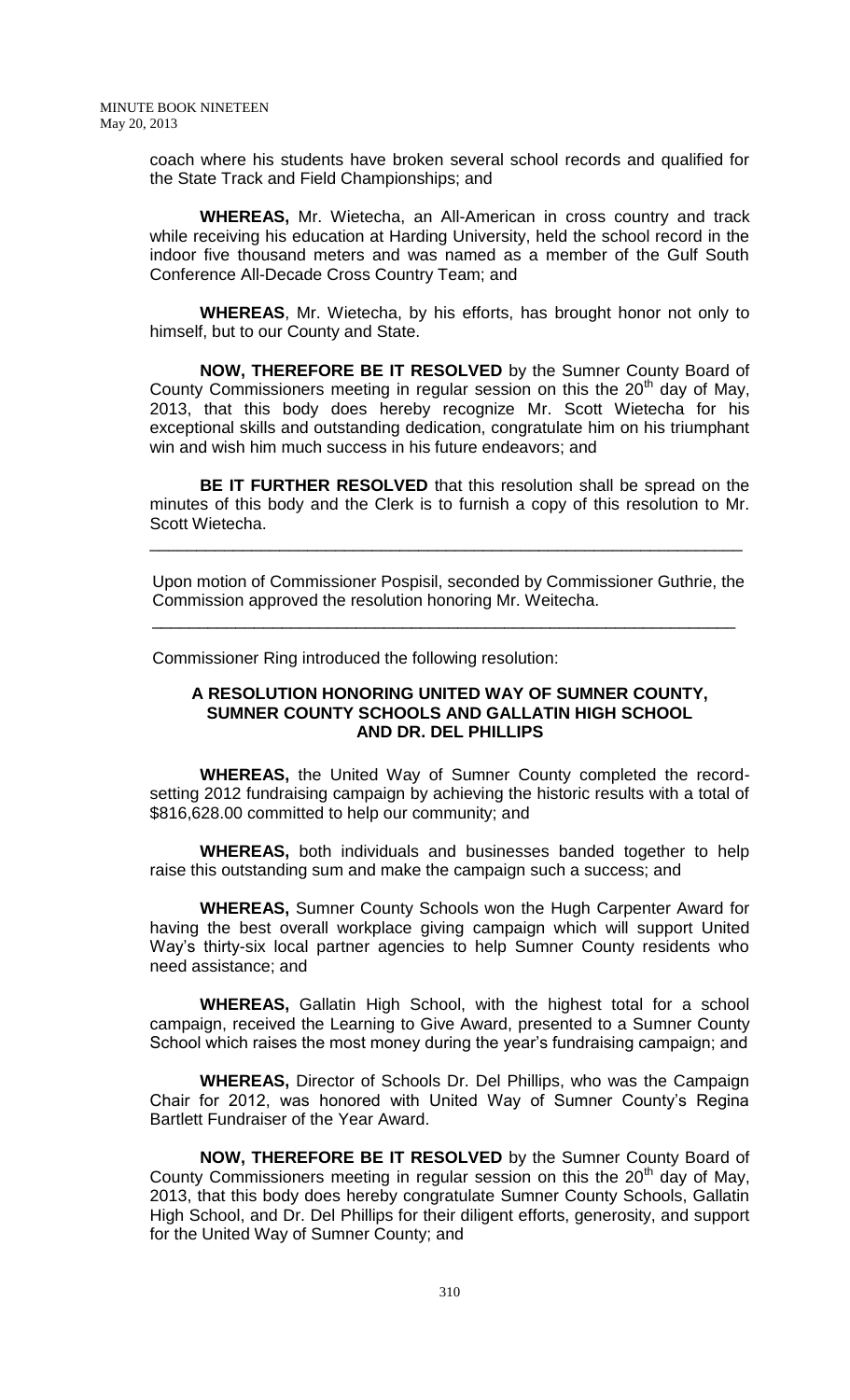coach where his students have broken several school records and qualified for the State Track and Field Championships; and

**WHEREAS,** Mr. Wietecha, an All-American in cross country and track while receiving his education at Harding University, held the school record in the indoor five thousand meters and was named as a member of the Gulf South Conference All-Decade Cross Country Team; and

**WHEREAS**, Mr. Wietecha, by his efforts, has brought honor not only to himself, but to our County and State.

**NOW, THEREFORE BE IT RESOLVED** by the Sumner County Board of County Commissioners meeting in regular session on this the  $20<sup>th</sup>$  day of May, 2013, that this body does hereby recognize Mr. Scott Wietecha for his exceptional skills and outstanding dedication, congratulate him on his triumphant win and wish him much success in his future endeavors; and

**BE IT FURTHER RESOLVED** that this resolution shall be spread on the minutes of this body and the Clerk is to furnish a copy of this resolution to Mr. Scott Wietecha.

\_\_\_\_\_\_\_\_\_\_\_\_\_\_\_\_\_\_\_\_\_\_\_\_\_\_\_\_\_\_\_\_\_\_\_\_\_\_\_\_\_\_\_\_\_\_\_\_\_\_\_\_\_\_\_\_\_\_\_\_\_\_\_\_

 Upon motion of Commissioner Pospisil, seconded by Commissioner Guthrie, the Commission approved the resolution honoring Mr. Weitecha.

\_\_\_\_\_\_\_\_\_\_\_\_\_\_\_\_\_\_\_\_\_\_\_\_\_\_\_\_\_\_\_\_\_\_\_\_\_\_\_\_\_\_\_\_\_\_\_\_\_\_\_\_\_\_\_\_\_\_\_\_\_\_\_

Commissioner Ring introduced the following resolution:

#### **A RESOLUTION HONORING UNITED WAY OF SUMNER COUNTY, SUMNER COUNTY SCHOOLS AND GALLATIN HIGH SCHOOL AND DR. DEL PHILLIPS**

**WHEREAS,** the United Way of Sumner County completed the recordsetting 2012 fundraising campaign by achieving the historic results with a total of \$816,628.00 committed to help our community; and

**WHEREAS,** both individuals and businesses banded together to help raise this outstanding sum and make the campaign such a success; and

**WHEREAS,** Sumner County Schools won the Hugh Carpenter Award for having the best overall workplace giving campaign which will support United Way's thirty-six local partner agencies to help Sumner County residents who need assistance; and

**WHEREAS,** Gallatin High School, with the highest total for a school campaign, received the Learning to Give Award, presented to a Sumner County School which raises the most money during the year's fundraising campaign; and

**WHEREAS,** Director of Schools Dr. Del Phillips, who was the Campaign Chair for 2012, was honored with United Way of Sumner County's Regina Bartlett Fundraiser of the Year Award.

**NOW, THEREFORE BE IT RESOLVED** by the Sumner County Board of County Commissioners meeting in regular session on this the  $20<sup>th</sup>$  day of May, 2013, that this body does hereby congratulate Sumner County Schools, Gallatin High School, and Dr. Del Phillips for their diligent efforts, generosity, and support for the United Way of Sumner County; and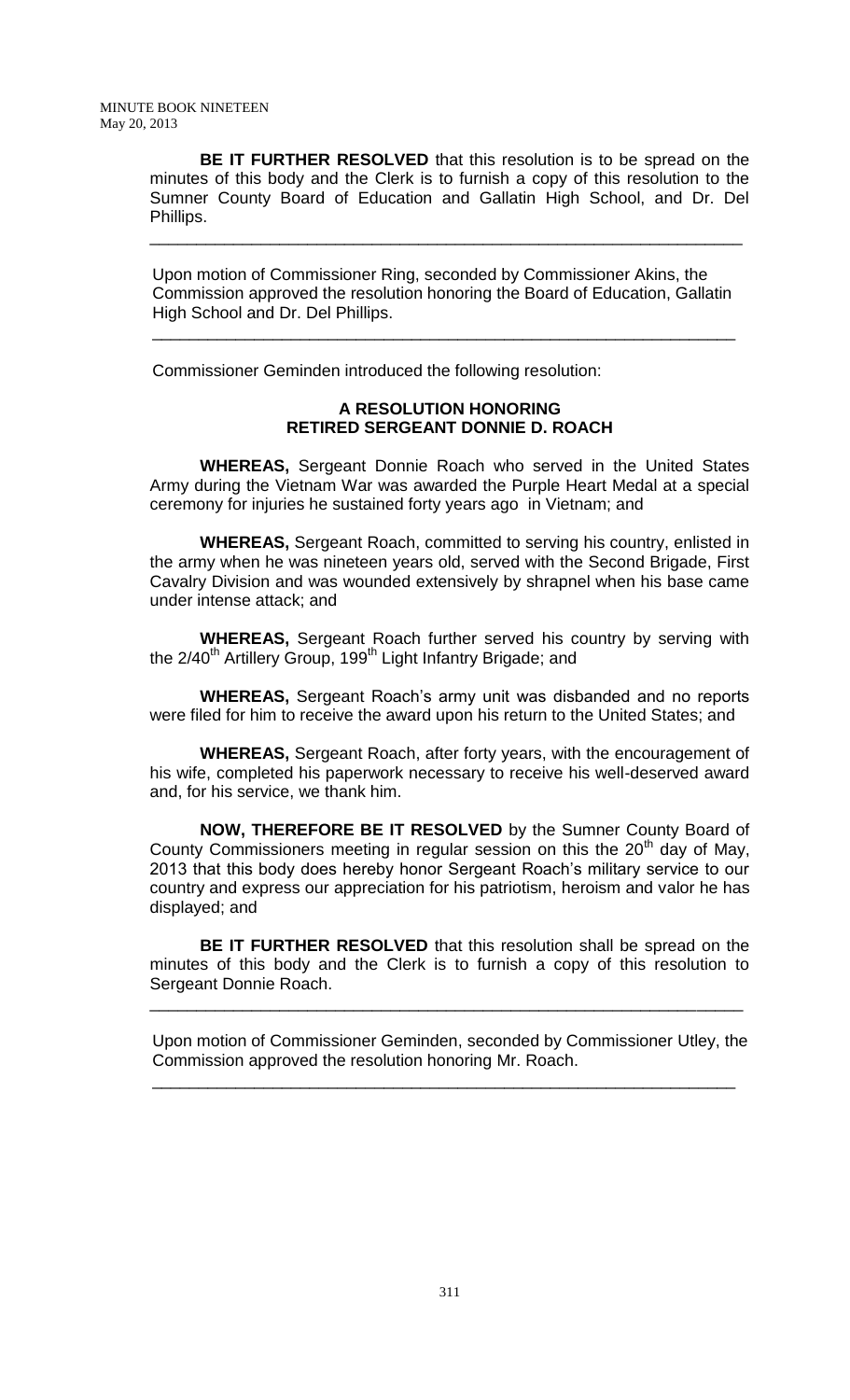**BE IT FURTHER RESOLVED** that this resolution is to be spread on the minutes of this body and the Clerk is to furnish a copy of this resolution to the Sumner County Board of Education and Gallatin High School, and Dr. Del Phillips.

 Upon motion of Commissioner Ring, seconded by Commissioner Akins, the Commission approved the resolution honoring the Board of Education, Gallatin High School and Dr. Del Phillips.

\_\_\_\_\_\_\_\_\_\_\_\_\_\_\_\_\_\_\_\_\_\_\_\_\_\_\_\_\_\_\_\_\_\_\_\_\_\_\_\_\_\_\_\_\_\_\_\_\_\_\_\_\_\_\_\_\_\_\_\_\_\_\_

\_\_\_\_\_\_\_\_\_\_\_\_\_\_\_\_\_\_\_\_\_\_\_\_\_\_\_\_\_\_\_\_\_\_\_\_\_\_\_\_\_\_\_\_\_\_\_\_\_\_\_\_\_\_\_\_\_\_\_\_\_\_\_\_

Commissioner Geminden introduced the following resolution:

## **A RESOLUTION HONORING RETIRED SERGEANT DONNIE D. ROACH**

**WHEREAS,** Sergeant Donnie Roach who served in the United States Army during the Vietnam War was awarded the Purple Heart Medal at a special ceremony for injuries he sustained forty years ago in Vietnam; and

**WHEREAS,** Sergeant Roach, committed to serving his country, enlisted in the army when he was nineteen years old, served with the Second Brigade, First Cavalry Division and was wounded extensively by shrapnel when his base came under intense attack; and

**WHEREAS,** Sergeant Roach further served his country by serving with the 2/40<sup>th</sup> Artillery Group, 199<sup>th</sup> Light Infantry Brigade; and

**WHEREAS,** Sergeant Roach's army unit was disbanded and no reports were filed for him to receive the award upon his return to the United States; and

**WHEREAS,** Sergeant Roach, after forty years, with the encouragement of his wife, completed his paperwork necessary to receive his well-deserved award and, for his service, we thank him.

**NOW, THEREFORE BE IT RESOLVED** by the Sumner County Board of County Commissioners meeting in regular session on this the  $20<sup>th</sup>$  day of May, 2013 that this body does hereby honor Sergeant Roach's military service to our country and express our appreciation for his patriotism, heroism and valor he has displayed; and

**BE IT FURTHER RESOLVED** that this resolution shall be spread on the minutes of this body and the Clerk is to furnish a copy of this resolution to Sergeant Donnie Roach.

\_\_\_\_\_\_\_\_\_\_\_\_\_\_\_\_\_\_\_\_\_\_\_\_\_\_\_\_\_\_\_\_\_\_\_\_\_\_\_\_\_\_\_\_\_\_\_\_\_\_\_\_\_\_\_\_\_\_\_\_\_\_\_\_

 Upon motion of Commissioner Geminden, seconded by Commissioner Utley, the Commission approved the resolution honoring Mr. Roach.

\_\_\_\_\_\_\_\_\_\_\_\_\_\_\_\_\_\_\_\_\_\_\_\_\_\_\_\_\_\_\_\_\_\_\_\_\_\_\_\_\_\_\_\_\_\_\_\_\_\_\_\_\_\_\_\_\_\_\_\_\_\_\_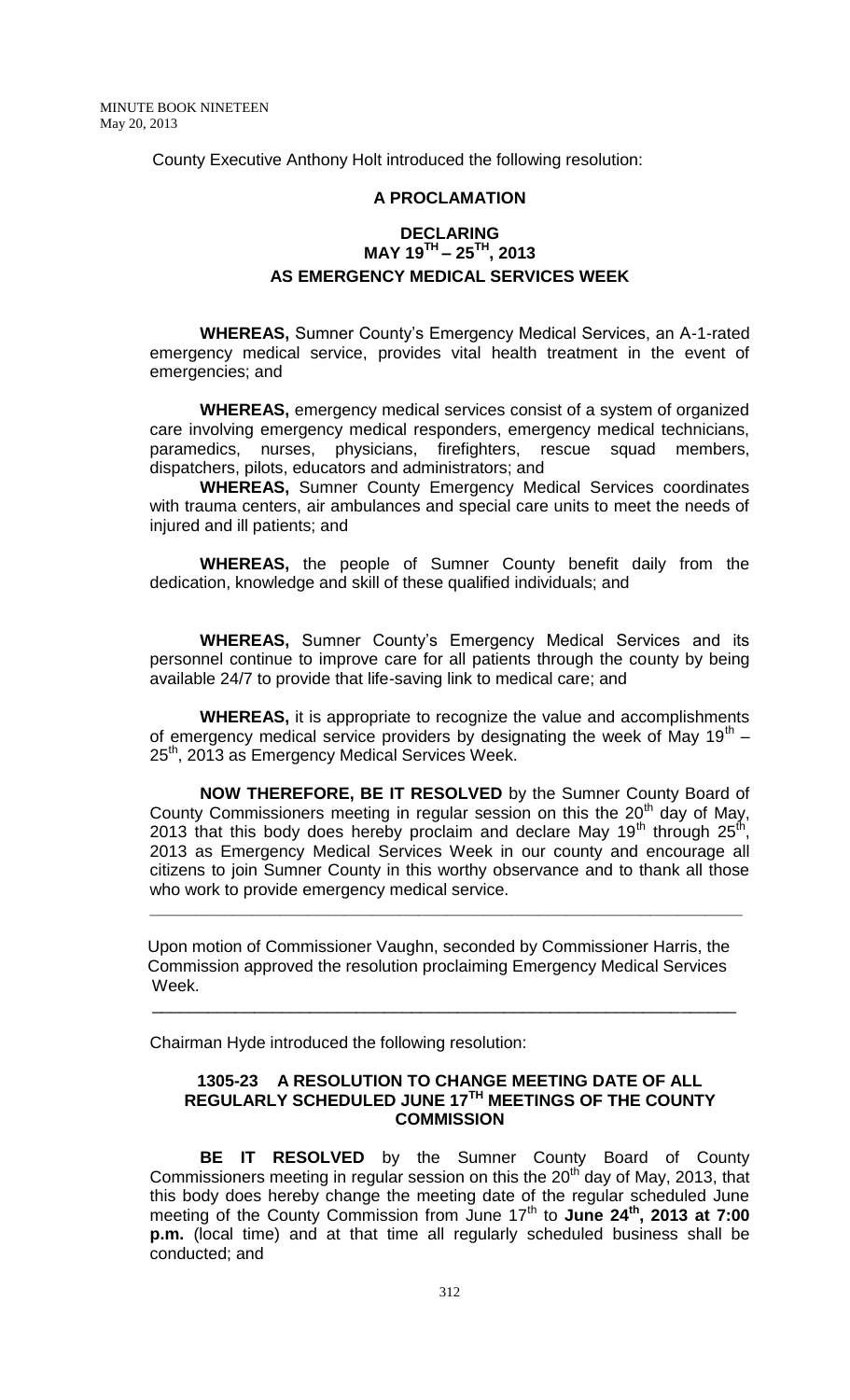County Executive Anthony Holt introduced the following resolution:

#### **A PROCLAMATION**

# **DECLARING MAY 19TH – 25TH, 2013 AS EMERGENCY MEDICAL SERVICES WEEK**

**WHEREAS,** Sumner County's Emergency Medical Services, an A-1-rated emergency medical service, provides vital health treatment in the event of emergencies; and

**WHEREAS,** emergency medical services consist of a system of organized care involving emergency medical responders, emergency medical technicians, paramedics, nurses, physicians, firefighters, rescue squad members, dispatchers, pilots, educators and administrators; and

**WHEREAS,** Sumner County Emergency Medical Services coordinates with trauma centers, air ambulances and special care units to meet the needs of injured and ill patients; and

**WHEREAS,** the people of Sumner County benefit daily from the dedication, knowledge and skill of these qualified individuals; and

**WHEREAS,** Sumner County's Emergency Medical Services and its personnel continue to improve care for all patients through the county by being available 24/7 to provide that life-saving link to medical care; and

**WHEREAS,** it is appropriate to recognize the value and accomplishments of emergency medical service providers by designating the week of May 19<sup>th</sup>  $-$ 25<sup>th</sup>, 2013 as Emergency Medical Services Week.

**NOW THEREFORE, BE IT RESOLVED** by the Sumner County Board of County Commissioners meeting in regular session on this the  $20<sup>th</sup>$  day of May, 2013 that this body does hereby proclaim and declare May 19<sup>th</sup> through 25<sup>th</sup>, 2013 as Emergency Medical Services Week in our county and encourage all citizens to join Sumner County in this worthy observance and to thank all those who work to provide emergency medical service.

 Upon motion of Commissioner Vaughn, seconded by Commissioner Harris, the Commission approved the resolution proclaiming Emergency Medical Services Week.

\_\_\_\_\_\_\_\_\_\_\_\_\_\_\_\_\_\_\_\_\_\_\_\_\_\_\_\_\_\_\_\_\_\_\_\_\_\_\_\_\_\_\_\_\_\_\_\_\_\_\_\_\_\_\_\_\_\_\_\_\_\_\_

**\_\_\_\_\_\_\_\_\_\_\_\_\_\_\_\_\_\_\_\_\_\_\_\_\_\_\_\_\_\_\_\_\_\_\_\_\_\_\_\_\_\_\_\_\_\_\_\_\_\_\_\_\_\_\_\_\_\_\_\_\_\_\_\_**

Chairman Hyde introduced the following resolution:

#### **1305-23 A RESOLUTION TO CHANGE MEETING DATE OF ALL REGULARLY SCHEDULED JUNE 17TH MEETINGS OF THE COUNTY COMMISSION**

**BE IT RESOLVED** by the Sumner County Board of County Commissioners meeting in regular session on this the  $20<sup>th</sup>$  day of May, 2013, that this body does hereby change the meeting date of the regular scheduled June meeting of the County Commission from June 17<sup>th</sup> to June 24<sup>th</sup>, 2013 at 7:00 **p.m.** (local time) and at that time all regularly scheduled business shall be conducted; and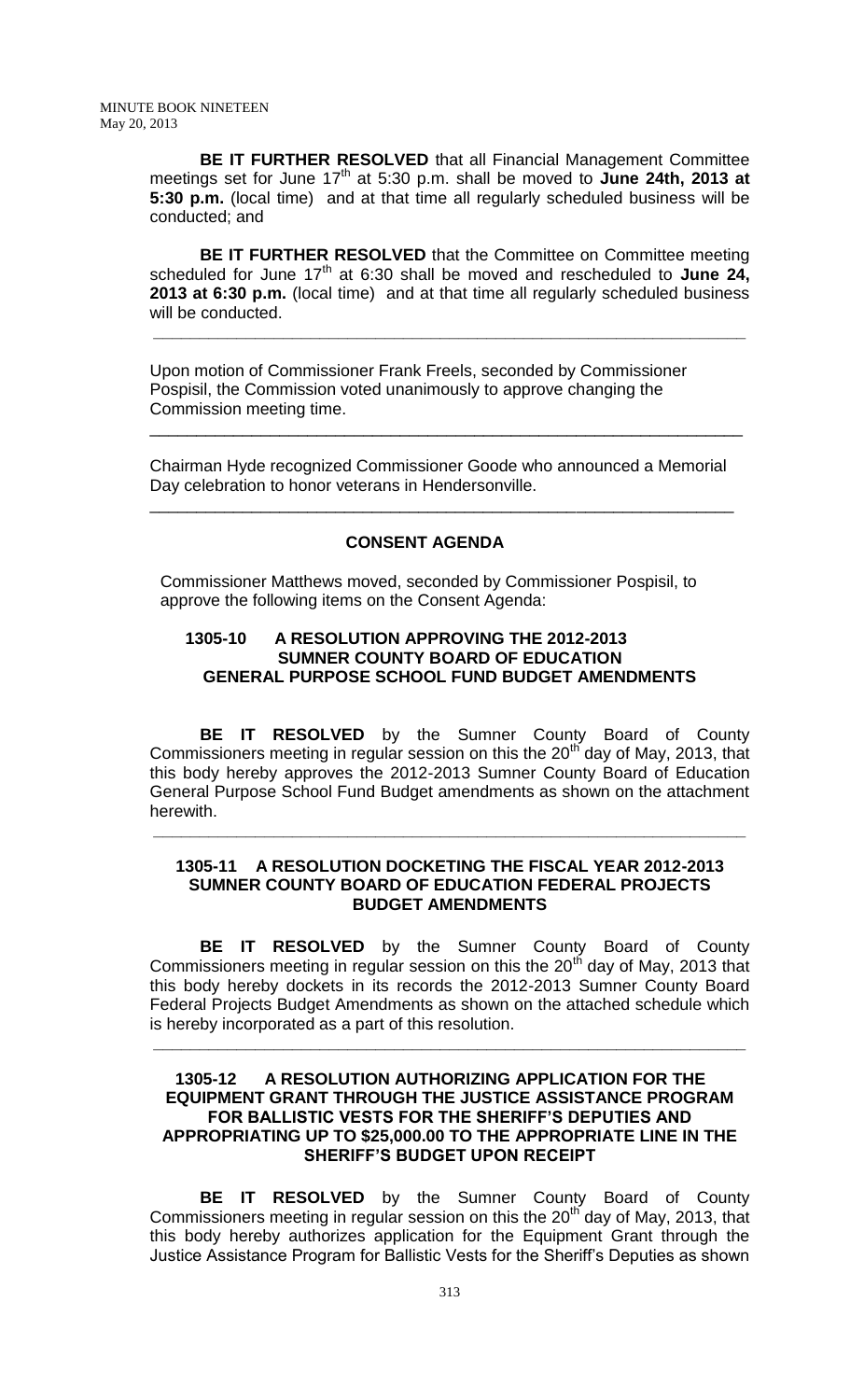**BE IT FURTHER RESOLVED** that all Financial Management Committee meetings set for June 17<sup>th</sup> at 5:30 p.m. shall be moved to **June 24th, 2013 at 5:30 p.m.** (local time) and at that time all regularly scheduled business will be conducted; and

**BE IT FURTHER RESOLVED** that the Committee on Committee meeting scheduled for June 17<sup>th</sup> at 6:30 shall be moved and rescheduled to June 24, **2013 at 6:30 p.m.** (local time) and at that time all regularly scheduled business will be conducted.

**\_\_\_\_\_\_\_\_\_\_\_\_\_\_\_\_\_\_\_\_\_\_\_\_\_\_\_\_\_\_\_\_\_\_\_\_\_\_\_\_\_\_\_\_\_\_\_\_\_\_\_\_\_\_\_\_\_\_\_\_\_\_\_\_**

Upon motion of Commissioner Frank Freels, seconded by Commissioner Pospisil, the Commission voted unanimously to approve changing the Commission meeting time.

Chairman Hyde recognized Commissioner Goode who announced a Memorial Day celebration to honor veterans in Hendersonville.

\_\_\_\_\_\_\_\_\_\_\_\_\_\_\_\_\_\_\_\_\_\_\_\_\_\_\_\_\_\_\_\_\_\_\_\_\_\_\_\_\_\_\_\_\_\_\_\_\_\_\_\_\_\_\_\_\_\_\_\_\_\_\_

\_\_\_\_\_\_\_\_\_\_\_\_\_\_\_\_\_\_\_\_\_\_\_\_\_\_\_\_\_\_\_\_\_\_\_\_\_\_\_\_\_\_\_\_\_\_\_\_\_\_\_\_\_\_\_\_\_\_\_\_\_\_\_\_

## **CONSENT AGENDA**

Commissioner Matthews moved, seconded by Commissioner Pospisil, to approve the following items on the Consent Agenda:

## **1305-10 A RESOLUTION APPROVING THE 2012-2013 SUMNER COUNTY BOARD OF EDUCATION GENERAL PURPOSE SCHOOL FUND BUDGET AMENDMENTS**

**BE IT RESOLVED** by the Sumner County Board of County Commissioners meeting in regular session on this the 20<sup>th</sup> day of May, 2013, that this body hereby approves the 2012-2013 Sumner County Board of Education General Purpose School Fund Budget amendments as shown on the attachment herewith.

## **1305-11 A RESOLUTION DOCKETING THE FISCAL YEAR 2012-2013 SUMNER COUNTY BOARD OF EDUCATION FEDERAL PROJECTS BUDGET AMENDMENTS**

**\_\_\_\_\_\_\_\_\_\_\_\_\_\_\_\_\_\_\_\_\_\_\_\_\_\_\_\_\_\_\_\_\_\_\_\_\_\_\_\_\_\_\_\_\_\_\_\_\_\_\_\_\_\_\_\_\_\_\_\_\_\_\_\_**

**BE IT RESOLVED** by the Sumner County Board of County Commissioners meeting in regular session on this the 20<sup>th</sup> day of May, 2013 that this body hereby dockets in its records the 2012-2013 Sumner County Board Federal Projects Budget Amendments as shown on the attached schedule which is hereby incorporated as a part of this resolution.

**\_\_\_\_\_\_\_\_\_\_\_\_\_\_\_\_\_\_\_\_\_\_\_\_\_\_\_\_\_\_\_\_\_\_\_\_\_\_\_\_\_\_\_\_\_\_\_\_\_\_\_\_\_\_\_\_\_\_\_\_\_\_\_\_**

## **1305-12 A RESOLUTION AUTHORIZING APPLICATION FOR THE EQUIPMENT GRANT THROUGH THE JUSTICE ASSISTANCE PROGRAM FOR BALLISTIC VESTS FOR THE SHERIFF'S DEPUTIES AND APPROPRIATING UP TO \$25,000.00 TO THE APPROPRIATE LINE IN THE SHERIFF'S BUDGET UPON RECEIPT**

**BE IT RESOLVED** by the Sumner County Board of County Commissioners meeting in regular session on this the  $20<sup>th</sup>$  day of May, 2013, that this body hereby authorizes application for the Equipment Grant through the Justice Assistance Program for Ballistic Vests for the Sheriff's Deputies as shown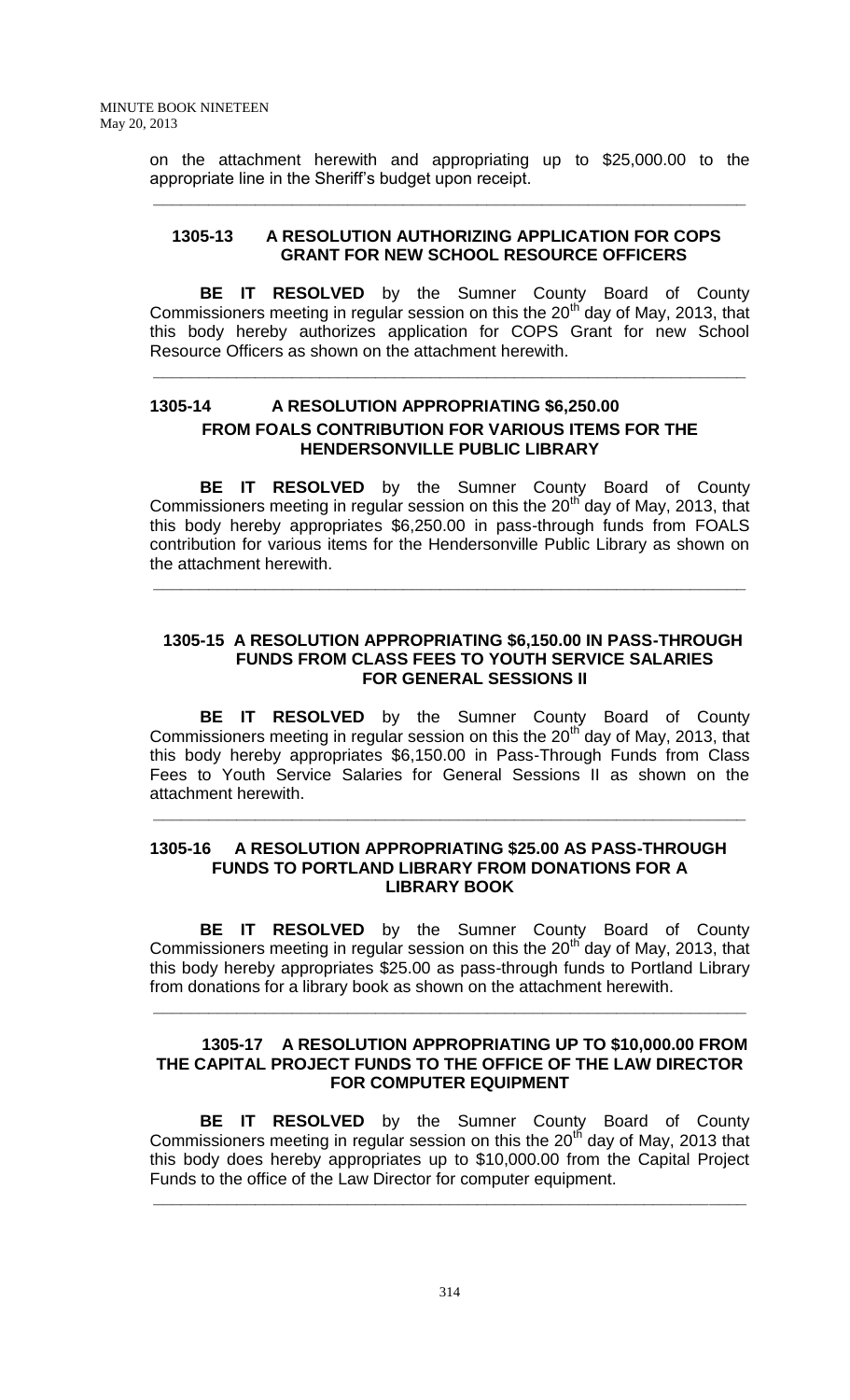on the attachment herewith and appropriating up to \$25,000.00 to the appropriate line in the Sheriff's budget upon receipt.

**\_\_\_\_\_\_\_\_\_\_\_\_\_\_\_\_\_\_\_\_\_\_\_\_\_\_\_\_\_\_\_\_\_\_\_\_\_\_\_\_\_\_\_\_\_\_\_\_\_\_\_\_\_\_\_\_\_\_\_\_\_\_\_\_**

# **1305-13 A RESOLUTION AUTHORIZING APPLICATION FOR COPS GRANT FOR NEW SCHOOL RESOURCE OFFICERS**

**BE IT RESOLVED** by the Sumner County Board of County Commissioners meeting in regular session on this the  $20<sup>th</sup>$  day of May, 2013, that this body hereby authorizes application for COPS Grant for new School Resource Officers as shown on the attachment herewith.

**\_\_\_\_\_\_\_\_\_\_\_\_\_\_\_\_\_\_\_\_\_\_\_\_\_\_\_\_\_\_\_\_\_\_\_\_\_\_\_\_\_\_\_\_\_\_\_\_\_\_\_\_\_\_\_\_\_\_\_\_\_\_\_\_**

# **1305-14 A RESOLUTION APPROPRIATING \$6,250.00 FROM FOALS CONTRIBUTION FOR VARIOUS ITEMS FOR THE HENDERSONVILLE PUBLIC LIBRARY**

**BE IT RESOLVED** by the Sumner County Board of County Commissioners meeting in regular session on this the  $20<sup>th</sup>$  day of May, 2013, that this body hereby appropriates \$6,250.00 in pass-through funds from FOALS contribution for various items for the Hendersonville Public Library as shown on the attachment herewith.

**\_\_\_\_\_\_\_\_\_\_\_\_\_\_\_\_\_\_\_\_\_\_\_\_\_\_\_\_\_\_\_\_\_\_\_\_\_\_\_\_\_\_\_\_\_\_\_\_\_\_\_\_\_\_\_\_\_\_\_\_\_\_\_\_**

## **1305-15 A RESOLUTION APPROPRIATING \$6,150.00 IN PASS-THROUGH FUNDS FROM CLASS FEES TO YOUTH SERVICE SALARIES FOR GENERAL SESSIONS II**

**BE IT RESOLVED** by the Sumner County Board of County Commissioners meeting in regular session on this the  $20<sup>th</sup>$  day of May, 2013, that this body hereby appropriates \$6,150.00 in Pass-Through Funds from Class Fees to Youth Service Salaries for General Sessions II as shown on the attachment herewith.

**\_\_\_\_\_\_\_\_\_\_\_\_\_\_\_\_\_\_\_\_\_\_\_\_\_\_\_\_\_\_\_\_\_\_\_\_\_\_\_\_\_\_\_\_\_\_\_\_\_\_\_\_\_\_\_\_\_\_\_\_\_\_\_\_**

#### **1305-16 A RESOLUTION APPROPRIATING \$25.00 AS PASS-THROUGH FUNDS TO PORTLAND LIBRARY FROM DONATIONS FOR A LIBRARY BOOK**

**BE IT RESOLVED** by the Sumner County Board of County Commissioners meeting in regular session on this the  $20<sup>th</sup>$  day of May, 2013, that this body hereby appropriates \$25.00 as pass-through funds to Portland Library from donations for a library book as shown on the attachment herewith.

**\_\_\_\_\_\_\_\_\_\_\_\_\_\_\_\_\_\_\_\_\_\_\_\_\_\_\_\_\_\_\_\_\_\_\_\_\_\_\_\_\_\_\_\_\_\_\_\_\_\_\_\_\_\_\_\_\_\_\_\_\_\_\_\_**

#### **1305-17 A RESOLUTION APPROPRIATING UP TO \$10,000.00 FROM THE CAPITAL PROJECT FUNDS TO THE OFFICE OF THE LAW DIRECTOR FOR COMPUTER EQUIPMENT**

**BE IT RESOLVED** by the Sumner County Board of County Commissioners meeting in regular session on this the  $20<sup>th</sup>$  day of May, 2013 that this body does hereby appropriates up to \$10,000.00 from the Capital Project Funds to the office of the Law Director for computer equipment.

**\_\_\_\_\_\_\_\_\_\_\_\_\_\_\_\_\_\_\_\_\_\_\_\_\_\_\_\_\_\_\_\_\_\_\_\_\_\_\_\_\_\_\_\_\_\_\_\_\_\_\_\_\_\_\_\_\_\_\_\_\_\_\_\_**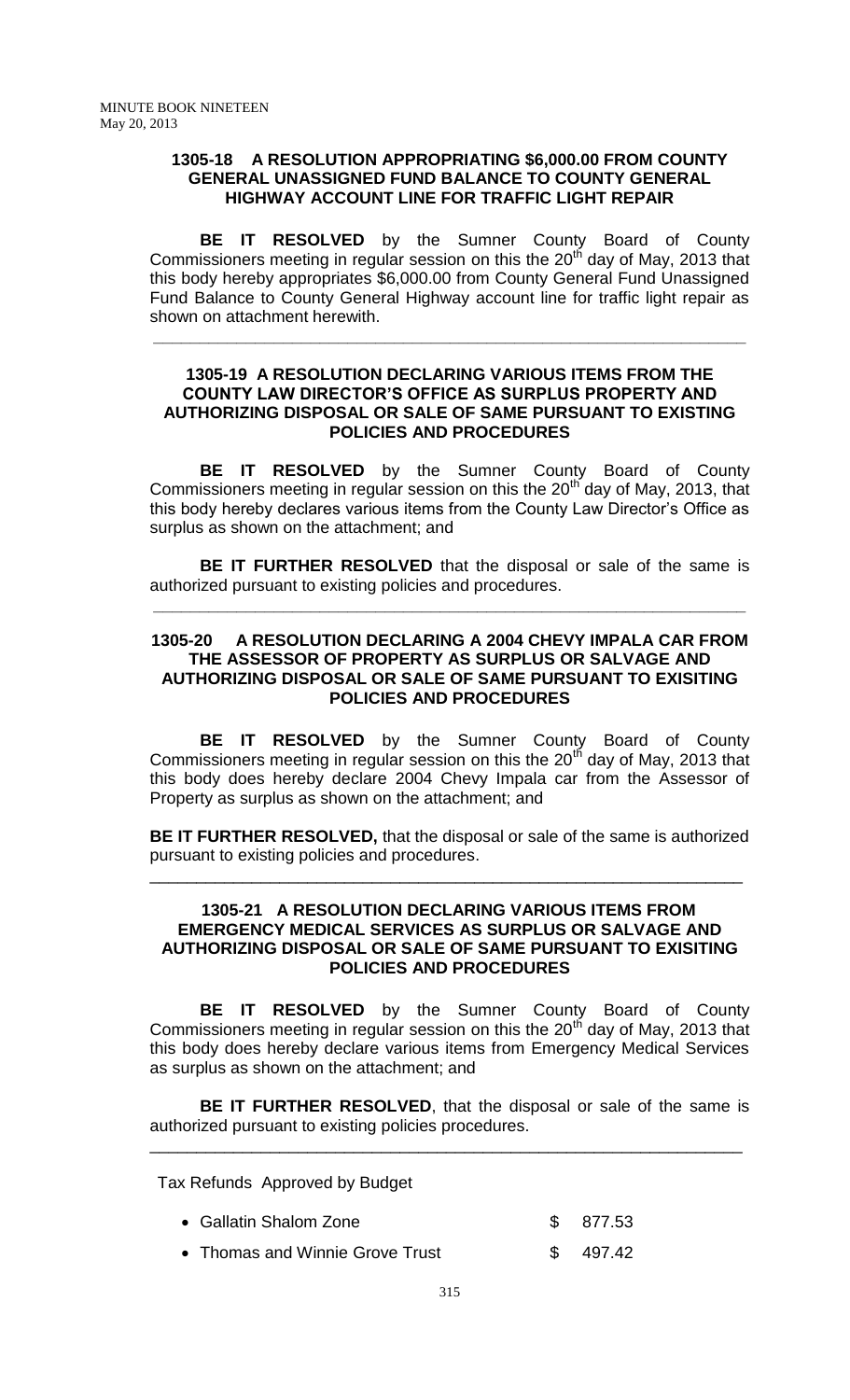## **1305-18 A RESOLUTION APPROPRIATING \$6,000.00 FROM COUNTY GENERAL UNASSIGNED FUND BALANCE TO COUNTY GENERAL HIGHWAY ACCOUNT LINE FOR TRAFFIC LIGHT REPAIR**

**BE IT RESOLVED** by the Sumner County Board of County Commissioners meeting in regular session on this the  $20<sup>th</sup>$  day of May, 2013 that this body hereby appropriates \$6,000.00 from County General Fund Unassigned Fund Balance to County General Highway account line for traffic light repair as shown on attachment herewith.

**\_\_\_\_\_\_\_\_\_\_\_\_\_\_\_\_\_\_\_\_\_\_\_\_\_\_\_\_\_\_\_\_\_\_\_\_\_\_\_\_\_\_\_\_\_\_\_\_\_\_\_\_\_\_\_\_\_\_\_\_\_\_\_\_**

#### **1305-19 A RESOLUTION DECLARING VARIOUS ITEMS FROM THE COUNTY LAW DIRECTOR'S OFFICE AS SURPLUS PROPERTY AND AUTHORIZING DISPOSAL OR SALE OF SAME PURSUANT TO EXISTING POLICIES AND PROCEDURES**

**BE IT RESOLVED** by the Sumner County Board of County Commissioners meeting in regular session on this the  $20<sup>th</sup>$  day of May, 2013, that this body hereby declares various items from the County Law Director's Office as surplus as shown on the attachment; and

**BE IT FURTHER RESOLVED** that the disposal or sale of the same is authorized pursuant to existing policies and procedures.

**\_\_\_\_\_\_\_\_\_\_\_\_\_\_\_\_\_\_\_\_\_\_\_\_\_\_\_\_\_\_\_\_\_\_\_\_\_\_\_\_\_\_\_\_\_\_\_\_\_\_\_\_\_\_\_\_\_\_\_\_\_\_\_\_**

# **1305-20 A RESOLUTION DECLARING A 2004 CHEVY IMPALA CAR FROM THE ASSESSOR OF PROPERTY AS SURPLUS OR SALVAGE AND AUTHORIZING DISPOSAL OR SALE OF SAME PURSUANT TO EXISITING POLICIES AND PROCEDURES**

**BE IT RESOLVED** by the Sumner County Board of County Commissioners meeting in regular session on this the  $20<sup>th</sup>$  day of May, 2013 that this body does hereby declare 2004 Chevy Impala car from the Assessor of Property as surplus as shown on the attachment; and

**BE IT FURTHER RESOLVED,** that the disposal or sale of the same is authorized pursuant to existing policies and procedures.

\_\_\_\_\_\_\_\_\_\_\_\_\_\_\_\_\_\_\_\_\_\_\_\_\_\_\_\_\_\_\_\_\_\_\_\_\_\_\_\_\_\_\_\_\_\_\_\_\_\_\_\_\_\_\_\_\_\_\_\_\_\_\_\_

#### **1305-21 A RESOLUTION DECLARING VARIOUS ITEMS FROM EMERGENCY MEDICAL SERVICES AS SURPLUS OR SALVAGE AND AUTHORIZING DISPOSAL OR SALE OF SAME PURSUANT TO EXISITING POLICIES AND PROCEDURES**

**BE IT RESOLVED** by the Sumner County Board of County Commissioners meeting in regular session on this the  $20<sup>th</sup>$  day of May, 2013 that this body does hereby declare various items from Emergency Medical Services as surplus as shown on the attachment; and

**BE IT FURTHER RESOLVED**, that the disposal or sale of the same is authorized pursuant to existing policies procedures.

\_\_\_\_\_\_\_\_\_\_\_\_\_\_\_\_\_\_\_\_\_\_\_\_\_\_\_\_\_\_\_\_\_\_\_\_\_\_\_\_\_\_\_\_\_\_\_\_\_\_\_\_\_\_\_\_\_\_\_\_\_\_\_\_

Tax Refunds Approved by Budget

| • Gallatin Shalom Zone          | \$877.53 |
|---------------------------------|----------|
| • Thomas and Winnie Grove Trust | \$497.42 |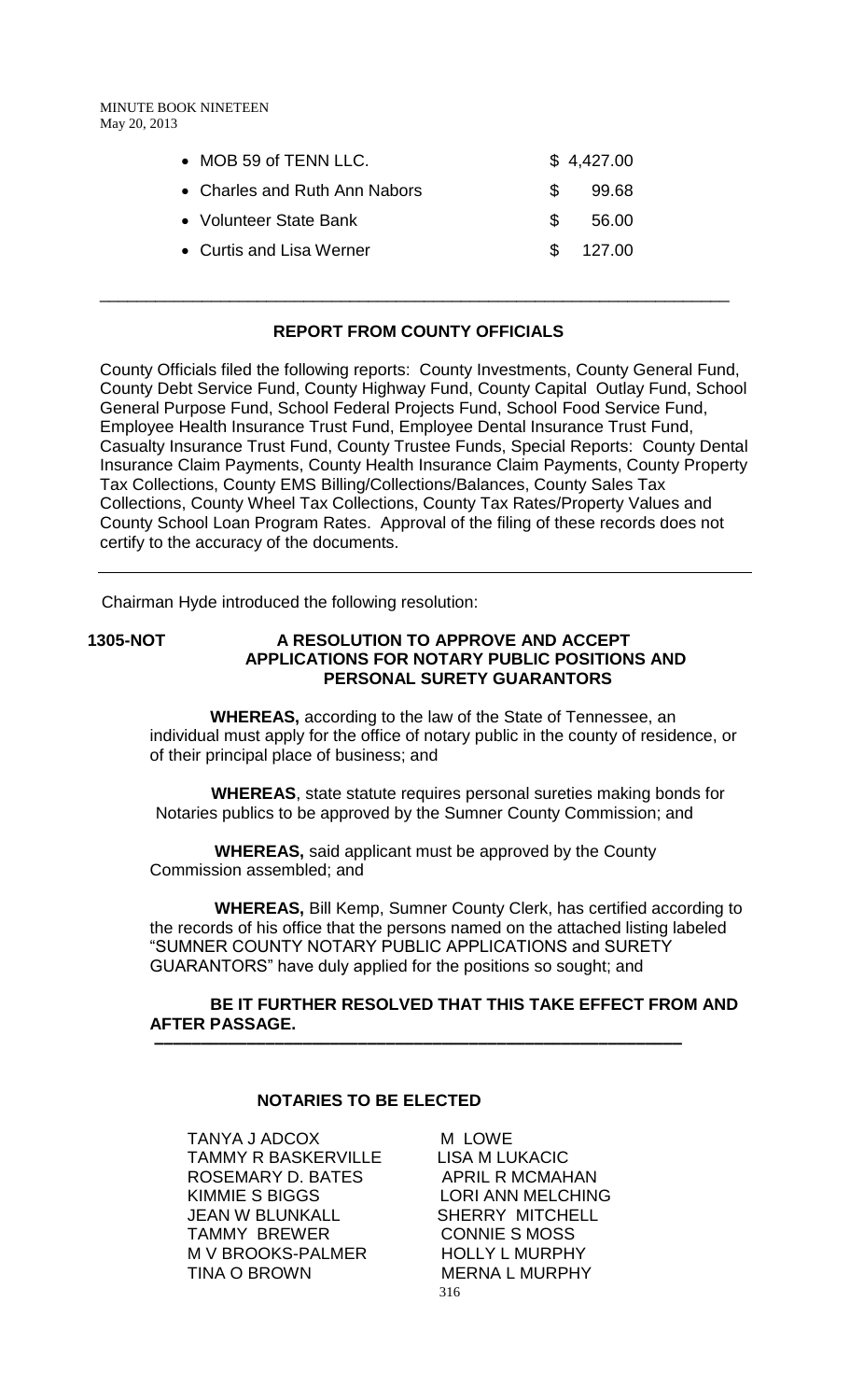| • MOB 59 of TENN LLC.         |               | \$4,427.00 |
|-------------------------------|---------------|------------|
| • Charles and Ruth Ann Nabors | $\mathcal{S}$ | 99.68      |
| • Volunteer State Bank        | £.            | 56.00      |
| • Curtis and Lisa Werner      |               | \$ 127.00  |
|                               |               |            |

## **REPORT FROM COUNTY OFFICIALS**

\_\_\_\_\_\_\_\_\_\_\_\_\_\_\_\_\_\_\_\_\_\_\_\_\_\_\_\_\_\_\_\_\_\_\_\_\_\_\_\_\_\_\_\_\_\_\_\_\_\_\_\_\_\_\_\_\_\_\_\_\_\_\_\_\_\_\_\_

County Officials filed the following reports: County Investments, County General Fund, County Debt Service Fund, County Highway Fund, County Capital Outlay Fund, School General Purpose Fund, School Federal Projects Fund, School Food Service Fund, Employee Health Insurance Trust Fund, Employee Dental Insurance Trust Fund, Casualty Insurance Trust Fund, County Trustee Funds, Special Reports: County Dental Insurance Claim Payments, County Health Insurance Claim Payments, County Property Tax Collections, County EMS Billing/Collections/Balances, County Sales Tax Collections, County Wheel Tax Collections, County Tax Rates/Property Values and County School Loan Program Rates. Approval of the filing of these records does not certify to the accuracy of the documents.

Chairman Hyde introduced the following resolution:

## **1305-NOT A RESOLUTION TO APPROVE AND ACCEPT APPLICATIONS FOR NOTARY PUBLIC POSITIONS AND PERSONAL SURETY GUARANTORS**

 **WHEREAS,** according to the law of the State of Tennessee, an individual must apply for the office of notary public in the county of residence, or of their principal place of business; and

 **WHEREAS**, state statute requires personal sureties making bonds for Notaries publics to be approved by the Sumner County Commission; and

 **WHEREAS,** said applicant must be approved by the County Commission assembled; and

 **–––––––––––––––––––––––––––––––––––––––––––––––––––––––––**

 **WHEREAS,** Bill Kemp, Sumner County Clerk, has certified according to the records of his office that the persons named on the attached listing labeled "SUMNER COUNTY NOTARY PUBLIC APPLICATIONS and SURETY GUARANTORS" have duly applied for the positions so sought; and

## **BE IT FURTHER RESOLVED THAT THIS TAKE EFFECT FROM AND AFTER PASSAGE.**

#### **NOTARIES TO BE ELECTED**

TANYA J ADCOX M LOWE TAMMY R BASKERVILLE LISA M LUKACIC ROSEMARY D. BATES APRIL R MCMAHAN KIMMIE S BIGGS LORI ANN MELCHING JEAN W BLUNKALL SHERRY MITCHELL TAMMY BREWER CONNIE S MOSS M V BROOKS-PALMER HOLLY L MURPHY TINA O BROWN MERNA L MURPHY

316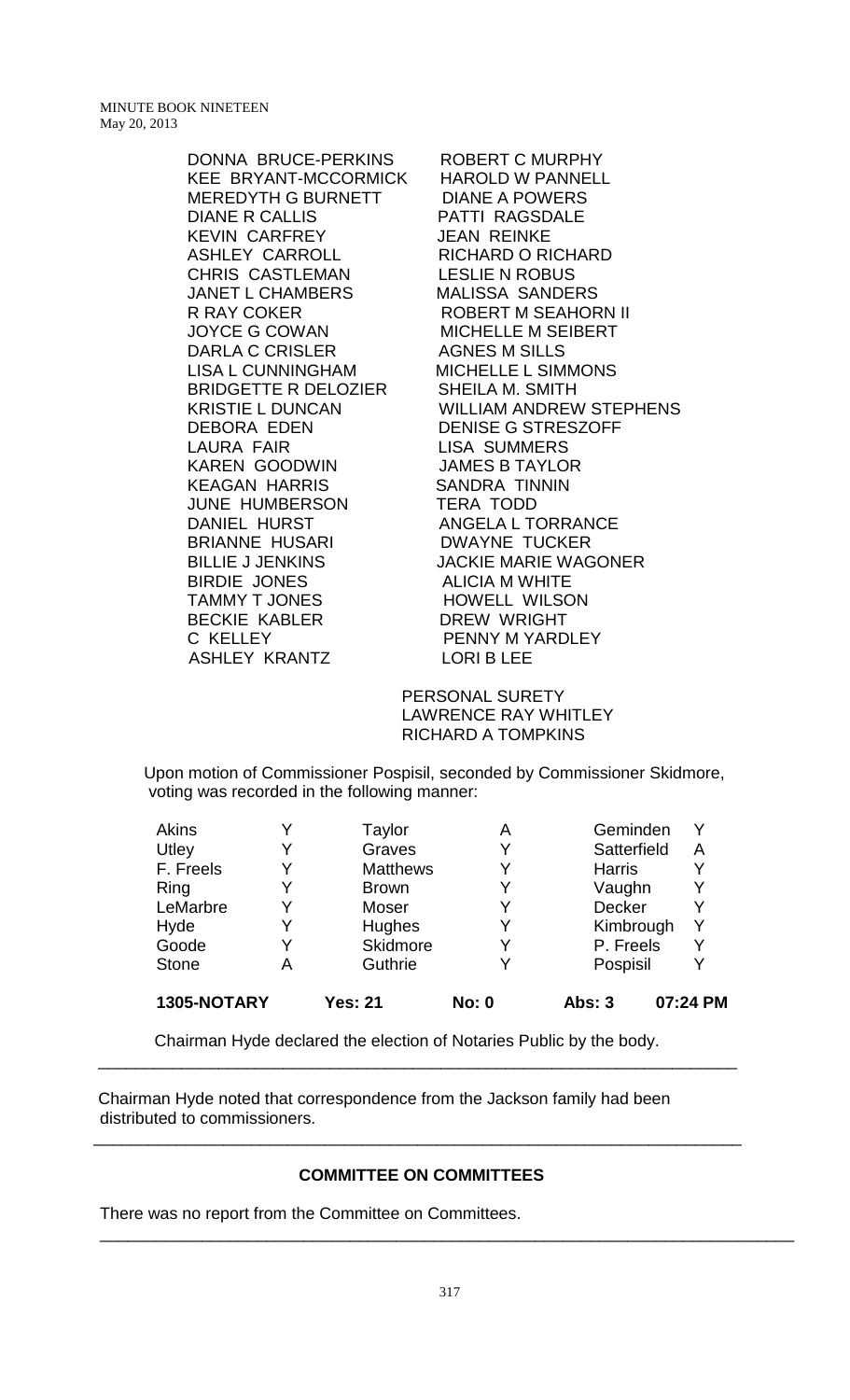> KEE BRYANT-MCCORMICK HAROLD W PANNELL MEREDYTH G BURNETT DIANE A POWERS DIANE R CALLIS PATTI RAGSDALE KEVIN CARFREY JEAN REINKE ASHLEY CARROLL RICHARD O RICHARD CHRIS CASTLEMAN LESLIE N ROBUS JANET L CHAMBERS MALISSA SANDERS R RAY COKER ROBERT M SEAHORN II JOYCE G COWAN MICHELLE M SEIBERT DARLA C CRISLER AGNES M SILLS LISA L CUNNINGHAM MICHELLE L SIMMONS BRIDGETTE R DELOZIER SHEILA M. SMITH DEBORA EDEN DENISE G STRESZOFF LAURA FAIR LISA SUMMERS KAREN GOODWIN JAMES B TAYLOR KEAGAN HARRIS SANDRA TINNIN JUNE HUMBERSON TERA TODD DANIEL HURST ANGELA L TORRANCE BRIANNE HUSARI DWAYNE TUCKER BILLIE J JENKINS JACKIE MARIE WAGONER BIRDIE JONES ALICIA M WHITE TAMMY T JONES HOWELL WILSON BECKIE KABLER DREW WRIGHT C KELLEY PENNY M YARDLEY ASHLEY KRANTZ LORI B LEE

DONNA BRUCE-PERKINS ROBERT C MURPHY KRISTIE L DUNCAN WILLIAM ANDREW STEPHENS

> PERSONAL SURETY LAWRENCE RAY WHITLEY RICHARD A TOMPKINS

Upon motion of Commissioner Pospisil, seconded by Commissioner Skidmore, voting was recorded in the following manner:

| 1305-NOTARY  |   | <b>Yes: 21</b>  | <b>No: 0</b> | <b>Abs: 3</b> | 07:24 PM |
|--------------|---|-----------------|--------------|---------------|----------|
| <b>Stone</b> | А | Guthrie         |              | Pospisil      |          |
| Goode        |   | Skidmore        |              | P. Freels     |          |
| Hyde         |   | Hughes          | Y            | Kimbrough     | Y        |
| LeMarbre     |   | Moser           | Y            | Decker        |          |
| Ring         |   | <b>Brown</b>    | Y            | Vaughn        |          |
| F. Freels    |   | <b>Matthews</b> | Y            | <b>Harris</b> |          |
| Utley        |   | Graves          |              | Satterfield   | Α        |
| <b>Akins</b> |   | Taylor          | A            | Geminden      |          |

Chairman Hyde declared the election of Notaries Public by the body.

\_\_\_\_\_\_\_\_\_\_\_\_\_\_\_\_\_\_\_\_\_\_\_\_\_\_\_\_\_\_\_\_\_\_\_\_\_\_\_\_\_\_\_\_\_\_\_\_\_\_\_\_\_\_\_\_\_\_\_\_\_\_\_\_\_\_\_\_\_

Chairman Hyde noted that correspondence from the Jackson family had been distributed to commissioners.

#### **COMMITTEE ON COMMITTEES**

\_\_\_\_\_\_\_\_\_\_\_\_\_\_\_\_\_\_\_\_\_\_\_\_\_\_\_\_\_\_\_\_\_\_\_\_\_\_\_\_\_\_\_\_\_\_\_\_\_\_\_\_\_\_\_\_\_\_\_\_\_\_\_\_\_\_\_\_\_\_

There was no report from the Committee on Committees.

\_\_\_\_\_\_\_\_\_\_\_\_\_\_\_\_\_\_\_\_\_\_\_\_\_\_\_\_\_\_\_\_\_\_\_\_\_\_\_\_\_\_\_\_\_\_\_\_\_\_\_\_\_\_\_\_\_\_\_\_\_\_\_\_\_\_\_\_\_\_\_\_\_\_\_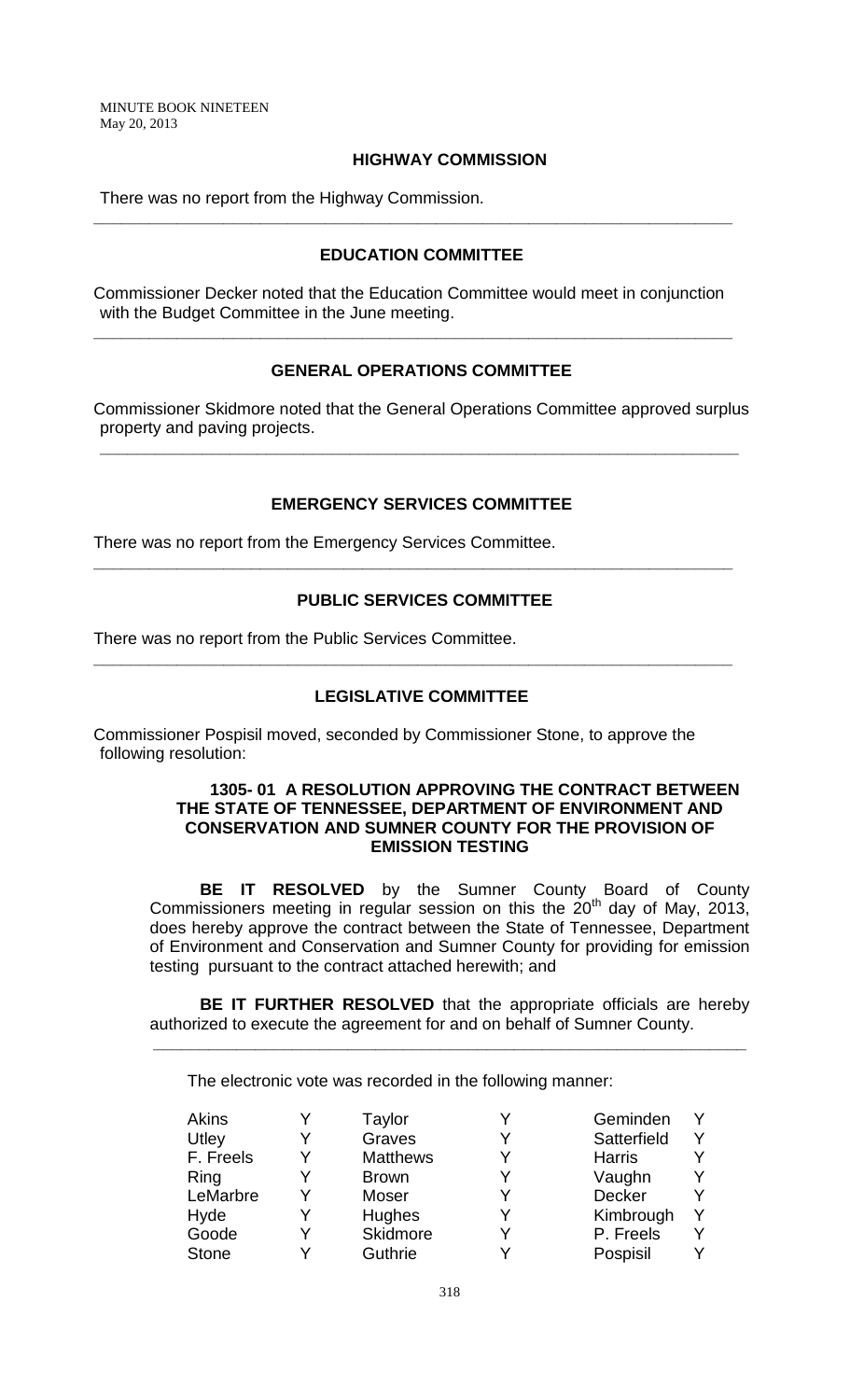#### **HIGHWAY COMMISSION**

There was no report from the Highway Commission.

#### **EDUCATION COMMITTEE**

**\_\_\_\_\_\_\_\_\_\_\_\_\_\_\_\_\_\_\_\_\_\_\_\_\_\_\_\_\_\_\_\_\_\_\_\_\_\_\_\_\_\_\_\_\_\_\_\_\_\_\_\_\_\_\_\_\_\_\_\_\_\_\_\_\_\_\_\_\_**

Commissioner Decker noted that the Education Committee would meet in conjunction with the Budget Committee in the June meeting.

**\_\_\_\_\_\_\_\_\_\_\_\_\_\_\_\_\_\_\_\_\_\_\_\_\_\_\_\_\_\_\_\_\_\_\_\_\_\_\_\_\_\_\_\_\_\_\_\_\_\_\_\_\_\_\_\_\_\_\_\_\_\_\_\_\_\_\_\_\_**

#### **GENERAL OPERATIONS COMMITTEE**

Commissioner Skidmore noted that the General Operations Committee approved surplus property and paving projects.

**\_\_\_\_\_\_\_\_\_\_\_\_\_\_\_\_\_\_\_\_\_\_\_\_\_\_\_\_\_\_\_\_\_\_\_\_\_\_\_\_\_\_\_\_\_\_\_\_\_\_\_\_\_\_\_\_\_\_\_\_\_\_\_\_\_\_\_\_\_**

#### **EMERGENCY SERVICES COMMITTEE**

There was no report from the Emergency Services Committee.

## **PUBLIC SERVICES COMMITTEE**

**\_\_\_\_\_\_\_\_\_\_\_\_\_\_\_\_\_\_\_\_\_\_\_\_\_\_\_\_\_\_\_\_\_\_\_\_\_\_\_\_\_\_\_\_\_\_\_\_\_\_\_\_\_\_\_\_\_\_\_\_\_\_\_\_\_\_\_\_\_**

There was no report from the Public Services Committee.

# **LEGISLATIVE COMMITTEE**

**\_\_\_\_\_\_\_\_\_\_\_\_\_\_\_\_\_\_\_\_\_\_\_\_\_\_\_\_\_\_\_\_\_\_\_\_\_\_\_\_\_\_\_\_\_\_\_\_\_\_\_\_\_\_\_\_\_\_\_\_\_\_\_\_\_\_\_\_\_**

Commissioner Pospisil moved, seconded by Commissioner Stone, to approve the following resolution:

#### **1305- 01 A RESOLUTION APPROVING THE CONTRACT BETWEEN THE STATE OF TENNESSEE, DEPARTMENT OF ENVIRONMENT AND CONSERVATION AND SUMNER COUNTY FOR THE PROVISION OF EMISSION TESTING**

**BE IT RESOLVED** by the Sumner County Board of County Commissioners meeting in regular session on this the  $20<sup>th</sup>$  day of May, 2013, does hereby approve the contract between the State of Tennessee, Department of Environment and Conservation and Sumner County for providing for emission testing pursuant to the contract attached herewith; and

**BE IT FURTHER RESOLVED** that the appropriate officials are hereby authorized to execute the agreement for and on behalf of Sumner County.

**\_\_\_\_\_\_\_\_\_\_\_\_\_\_\_\_\_\_\_\_\_\_\_\_\_\_\_\_\_\_\_\_\_\_\_\_\_\_\_\_\_\_\_\_\_\_\_\_\_\_\_\_\_\_\_\_\_\_\_\_\_\_\_\_**

The electronic vote was recorded in the following manner:

| <b>Akins</b> |   | Taylor          |   | Geminden      |   |
|--------------|---|-----------------|---|---------------|---|
| Utley        |   | Graves          | v | Satterfield   | v |
| F. Freels    |   | <b>Matthews</b> |   | <b>Harris</b> |   |
| Ring         |   | <b>Brown</b>    |   | Vaughn        |   |
| LeMarbre     | v | Moser           | v | Decker        | Y |
| Hyde         |   | <b>Hughes</b>   |   | Kimbrough     | v |
| Goode        |   | <b>Skidmore</b> |   | P. Freels     |   |
| <b>Stone</b> |   | Guthrie         |   | Pospisil      |   |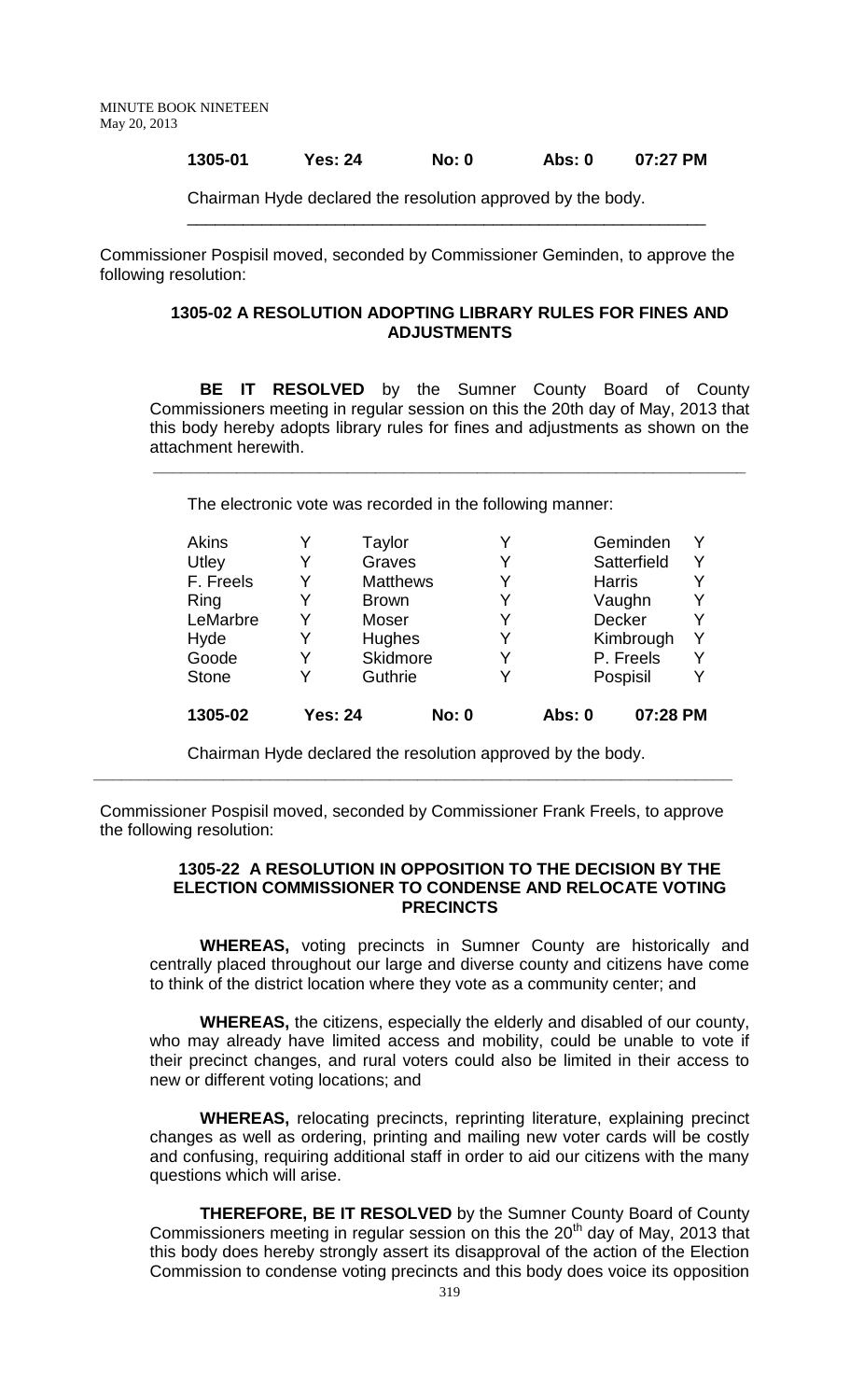#### **1305-01 Yes: 24 No: 0 Abs: 0 07:27 PM**

\_\_\_\_\_\_\_\_\_\_\_\_\_\_\_\_\_\_\_\_\_\_\_\_\_\_\_\_\_\_\_\_\_\_\_\_\_\_\_\_\_\_\_\_\_\_\_\_\_\_\_\_\_\_\_\_

Chairman Hyde declared the resolution approved by the body.

Commissioner Pospisil moved, seconded by Commissioner Geminden, to approve the following resolution:

#### **1305-02 A RESOLUTION ADOPTING LIBRARY RULES FOR FINES AND ADJUSTMENTS**

**BE IT RESOLVED** by the Sumner County Board of County Commissioners meeting in regular session on this the 20th day of May, 2013 that this body hereby adopts library rules for fines and adjustments as shown on the attachment herewith.

**\_\_\_\_\_\_\_\_\_\_\_\_\_\_\_\_\_\_\_\_\_\_\_\_\_\_\_\_\_\_\_\_\_\_\_\_\_\_\_\_\_\_\_\_\_\_\_\_\_\_\_\_\_\_\_\_\_\_\_\_\_\_\_\_**

The electronic vote was recorded in the following manner:

| Akins        |                | Taylor          |                 |   |               | Geminden      | Y |
|--------------|----------------|-----------------|-----------------|---|---------------|---------------|---|
| Utley        | Y              |                 | Graves          |   |               | Satterfield   |   |
| F. Freels    | Y              |                 | <b>Matthews</b> |   |               | <b>Harris</b> |   |
| Ring         | Y              | <b>Brown</b>    |                 |   |               | Vaughn        |   |
| LeMarbre     | Y              | Moser           |                 |   |               | Decker        |   |
| Hyde         | Y              | Hughes          |                 | Y |               | Kimbrough     |   |
| Goode        | Y              | <b>Skidmore</b> |                 |   |               | P. Freels     |   |
| <b>Stone</b> | V              |                 | Guthrie         |   |               | Pospisil      |   |
| 1305-02      | <b>Yes: 24</b> |                 | <b>No: 0</b>    |   | <b>Abs: 0</b> | 07:28 PM      |   |

Chairman Hyde declared the resolution approved by the body. **\_\_\_\_\_\_\_\_\_\_\_\_\_\_\_\_\_\_\_\_\_\_\_\_\_\_\_\_\_\_\_\_\_\_\_\_\_\_\_\_\_\_\_\_\_\_\_\_\_\_\_\_\_\_\_\_\_\_\_\_\_\_\_\_\_\_\_\_\_**

Commissioner Pospisil moved, seconded by Commissioner Frank Freels, to approve the following resolution:

#### **1305-22 A RESOLUTION IN OPPOSITION TO THE DECISION BY THE ELECTION COMMISSIONER TO CONDENSE AND RELOCATE VOTING PRECINCTS**

**WHEREAS,** voting precincts in Sumner County are historically and centrally placed throughout our large and diverse county and citizens have come to think of the district location where they vote as a community center; and

**WHEREAS,** the citizens, especially the elderly and disabled of our county, who may already have limited access and mobility, could be unable to vote if their precinct changes, and rural voters could also be limited in their access to new or different voting locations; and

**WHEREAS,** relocating precincts, reprinting literature, explaining precinct changes as well as ordering, printing and mailing new voter cards will be costly and confusing, requiring additional staff in order to aid our citizens with the many questions which will arise.

**THEREFORE, BE IT RESOLVED** by the Sumner County Board of County Commissioners meeting in regular session on this the 20<sup>th</sup> day of May, 2013 that this body does hereby strongly assert its disapproval of the action of the Election Commission to condense voting precincts and this body does voice its opposition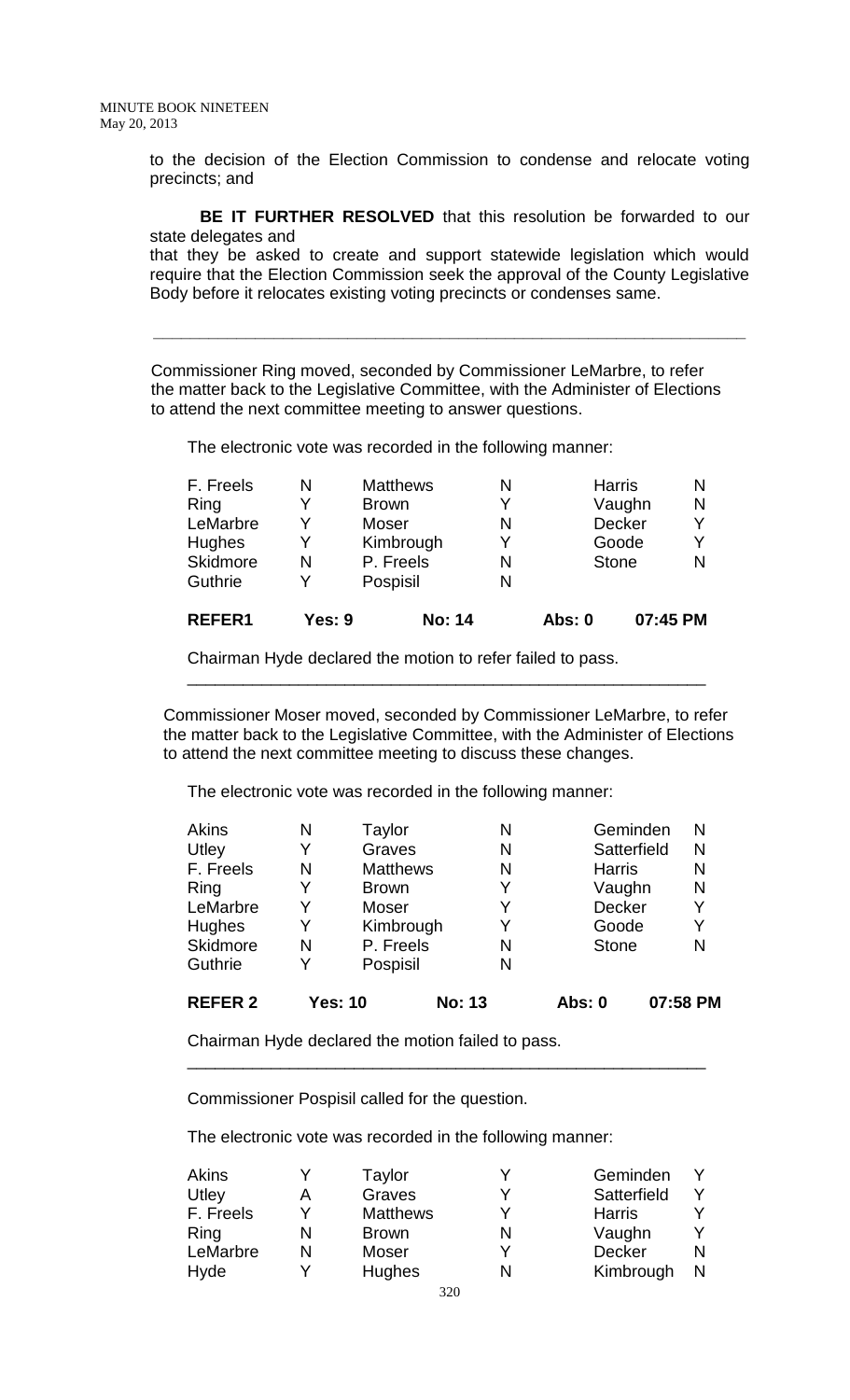to the decision of the Election Commission to condense and relocate voting precincts; and

**BE IT FURTHER RESOLVED** that this resolution be forwarded to our state delegates and

that they be asked to create and support statewide legislation which would require that the Election Commission seek the approval of the County Legislative Body before it relocates existing voting precincts or condenses same.

**\_\_\_\_\_\_\_\_\_\_\_\_\_\_\_\_\_\_\_\_\_\_\_\_\_\_\_\_\_\_\_\_\_\_\_\_\_\_\_\_\_\_\_\_\_\_\_\_\_\_\_\_\_\_\_\_\_\_\_\_\_\_\_\_**

 Commissioner Ring moved, seconded by Commissioner LeMarbre, to refer the matter back to the Legislative Committee, with the Administer of Elections to attend the next committee meeting to answer questions.

The electronic vote was recorded in the following manner:

| <b>REFER1</b>   | Yes: 9 | <b>No: 14</b>   |   | Abs: 0 | 07:45 PM      |   |
|-----------------|--------|-----------------|---|--------|---------------|---|
| Guthrie         |        | Pospisil        | N |        |               |   |
| <b>Skidmore</b> | N      | P. Freels       | N |        | <b>Stone</b>  |   |
| <b>Hughes</b>   | Y      | Kimbrough       | Y |        | Goode         |   |
| LeMarbre        | v      | <b>Moser</b>    | N |        | Decker        |   |
| Ring            | v      | <b>Brown</b>    | v |        | Vaughn        | N |
| F. Freels       | N      | <b>Matthews</b> | N |        | <b>Harris</b> |   |

Chairman Hyde declared the motion to refer failed to pass.

 Commissioner Moser moved, seconded by Commissioner LeMarbre, to refer the matter back to the Legislative Committee, with the Administer of Elections to attend the next committee meeting to discuss these changes.

\_\_\_\_\_\_\_\_\_\_\_\_\_\_\_\_\_\_\_\_\_\_\_\_\_\_\_\_\_\_\_\_\_\_\_\_\_\_\_\_\_\_\_\_\_\_\_\_\_\_\_\_\_\_\_\_

The electronic vote was recorded in the following manner:

| <b>REFER 2</b> |   | <b>Yes: 10</b>  | <b>No: 13</b> | Abs: 0        | 07:58 PM         |
|----------------|---|-----------------|---------------|---------------|------------------|
| Guthrie        | Y | Pospisil        | N             |               |                  |
| Skidmore       | N | P. Freels       | N             | <b>Stone</b>  | N                |
| <b>Hughes</b>  | Y | Kimbrough       | Y             | Goode         | Y                |
| LeMarbre       | Y | Moser           | Y             | Decker        | Y                |
| Ring           | Y | <b>Brown</b>    | Y             | Vaughn        | N                |
| F. Freels      | N | <b>Matthews</b> | N             | <b>Harris</b> | N                |
| Utley          |   | Graves          | N             |               | Satterfield<br>N |
| <b>Akins</b>   | N | Taylor          | N             |               | Geminden<br>N    |

Chairman Hyde declared the motion failed to pass.

Commissioner Pospisil called for the question.

The electronic vote was recorded in the following manner:

| Akins     |   | Taylor          | Geminden      |   |
|-----------|---|-----------------|---------------|---|
| Utley     |   | Graves          | Satterfield   |   |
| F. Freels |   | <b>Matthews</b> | <b>Harris</b> |   |
| Ring      |   | <b>Brown</b>    | Vaughn        |   |
| LeMarbre  | N | Moser           | <b>Decker</b> | N |
| Hyde      |   | <b>Hughes</b>   | Kimbrough     |   |

\_\_\_\_\_\_\_\_\_\_\_\_\_\_\_\_\_\_\_\_\_\_\_\_\_\_\_\_\_\_\_\_\_\_\_\_\_\_\_\_\_\_\_\_\_\_\_\_\_\_\_\_\_\_\_\_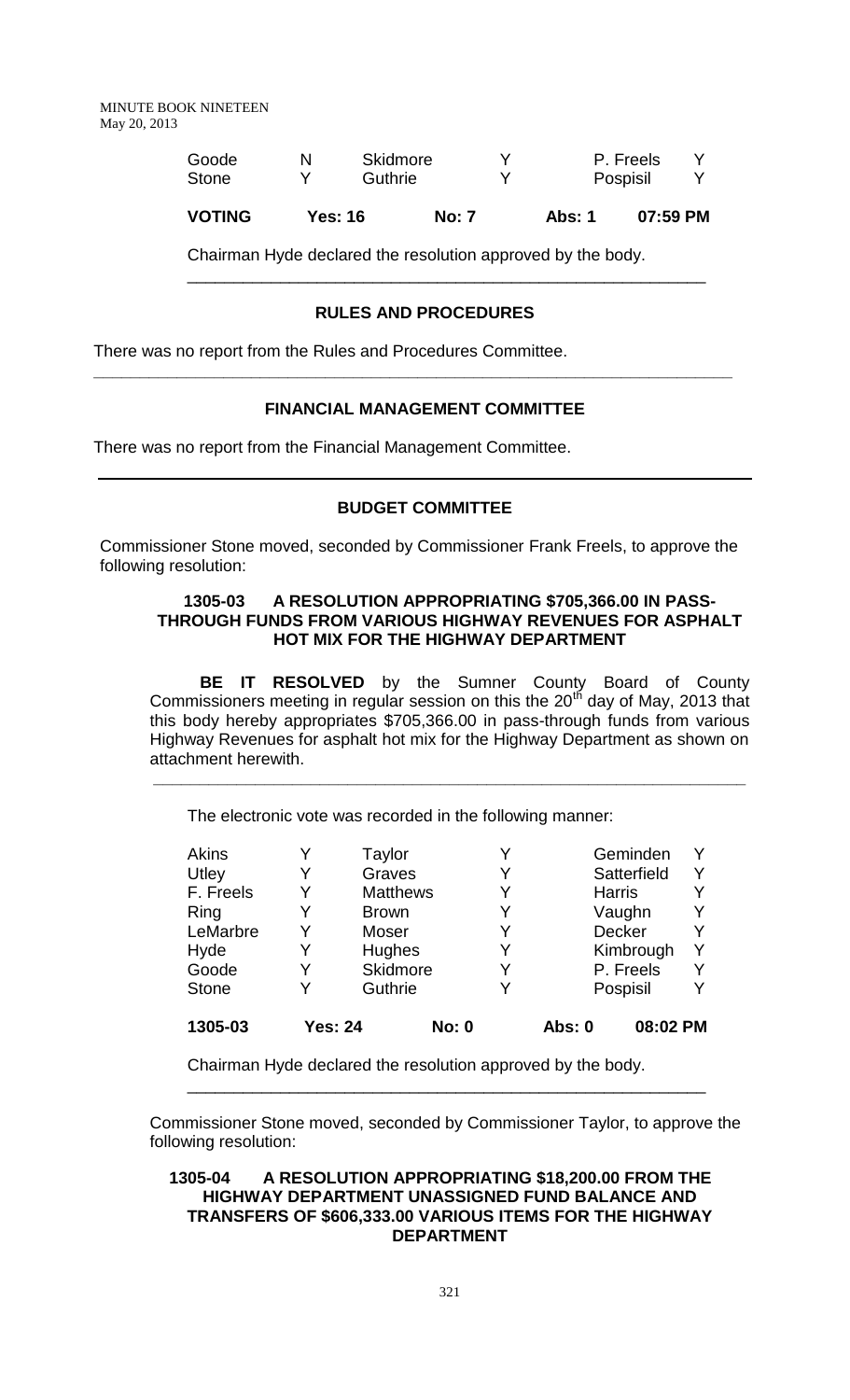| VOTING |   | <b>Yes: 16</b>  | <b>No: 7</b> | Abs: 1 | 07:59 PM  |  |
|--------|---|-----------------|--------------|--------|-----------|--|
| Stone  |   | Guthrie         |              |        | Pospisil  |  |
| Goode  | N | <b>Skidmore</b> |              |        | P. Freels |  |

\_\_\_\_\_\_\_\_\_\_\_\_\_\_\_\_\_\_\_\_\_\_\_\_\_\_\_\_\_\_\_\_\_\_\_\_\_\_\_\_\_\_\_\_\_\_\_\_\_\_\_\_\_\_\_\_

Chairman Hyde declared the resolution approved by the body.

# **RULES AND PROCEDURES**

There was no report from the Rules and Procedures Committee.

## **FINANCIAL MANAGEMENT COMMITTEE**

**\_\_\_\_\_\_\_\_\_\_\_\_\_\_\_\_\_\_\_\_\_\_\_\_\_\_\_\_\_\_\_\_\_\_\_\_\_\_\_\_\_\_\_\_\_\_\_\_\_\_\_\_\_\_\_\_\_\_\_\_\_\_\_\_\_\_\_\_\_**

There was no report from the Financial Management Committee.

# **BUDGET COMMITTEE**

Commissioner Stone moved, seconded by Commissioner Frank Freels, to approve the following resolution:

#### **1305-03 A RESOLUTION APPROPRIATING \$705,366.00 IN PASS-THROUGH FUNDS FROM VARIOUS HIGHWAY REVENUES FOR ASPHALT HOT MIX FOR THE HIGHWAY DEPARTMENT**

**BE IT RESOLVED** by the Sumner County Board of County Commissioners meeting in regular session on this the  $20<sup>th</sup>$  day of May, 2013 that this body hereby appropriates \$705,366.00 in pass-through funds from various Highway Revenues for asphalt hot mix for the Highway Department as shown on attachment herewith.

**\_\_\_\_\_\_\_\_\_\_\_\_\_\_\_\_\_\_\_\_\_\_\_\_\_\_\_\_\_\_\_\_\_\_\_\_\_\_\_\_\_\_\_\_\_\_\_\_\_\_\_\_\_\_\_\_\_\_\_\_\_\_\_\_**

The electronic vote was recorded in the following manner:

| <b>Akins</b> |                | Taylor          |              |   |        | Geminden      |   |
|--------------|----------------|-----------------|--------------|---|--------|---------------|---|
| Utley        | Y              | Graves          |              |   |        | Satterfield   |   |
| F. Freels    | Y              | <b>Matthews</b> |              | Y |        | <b>Harris</b> |   |
| Ring         | Y              | <b>Brown</b>    |              |   |        | Vaughn        |   |
| LeMarbre     | Y              | Moser           |              |   |        | Decker        |   |
| Hyde         | Y              | Hughes          |              | Y |        | Kimbrough     | Υ |
| Goode        | Y              | Skidmore        |              | Y |        | P. Freels     |   |
| <b>Stone</b> | Y              | Guthrie         |              |   |        | Pospisil      |   |
| 1305-03      | <b>Yes: 24</b> |                 | <b>No: 0</b> |   | Abs: 0 | 08:02 PM      |   |

Chairman Hyde declared the resolution approved by the body.

Commissioner Stone moved, seconded by Commissioner Taylor, to approve the following resolution:

\_\_\_\_\_\_\_\_\_\_\_\_\_\_\_\_\_\_\_\_\_\_\_\_\_\_\_\_\_\_\_\_\_\_\_\_\_\_\_\_\_\_\_\_\_\_\_\_\_\_\_\_\_\_\_\_

#### **1305-04 A RESOLUTION APPROPRIATING \$18,200.00 FROM THE HIGHWAY DEPARTMENT UNASSIGNED FUND BALANCE AND TRANSFERS OF \$606,333.00 VARIOUS ITEMS FOR THE HIGHWAY DEPARTMENT**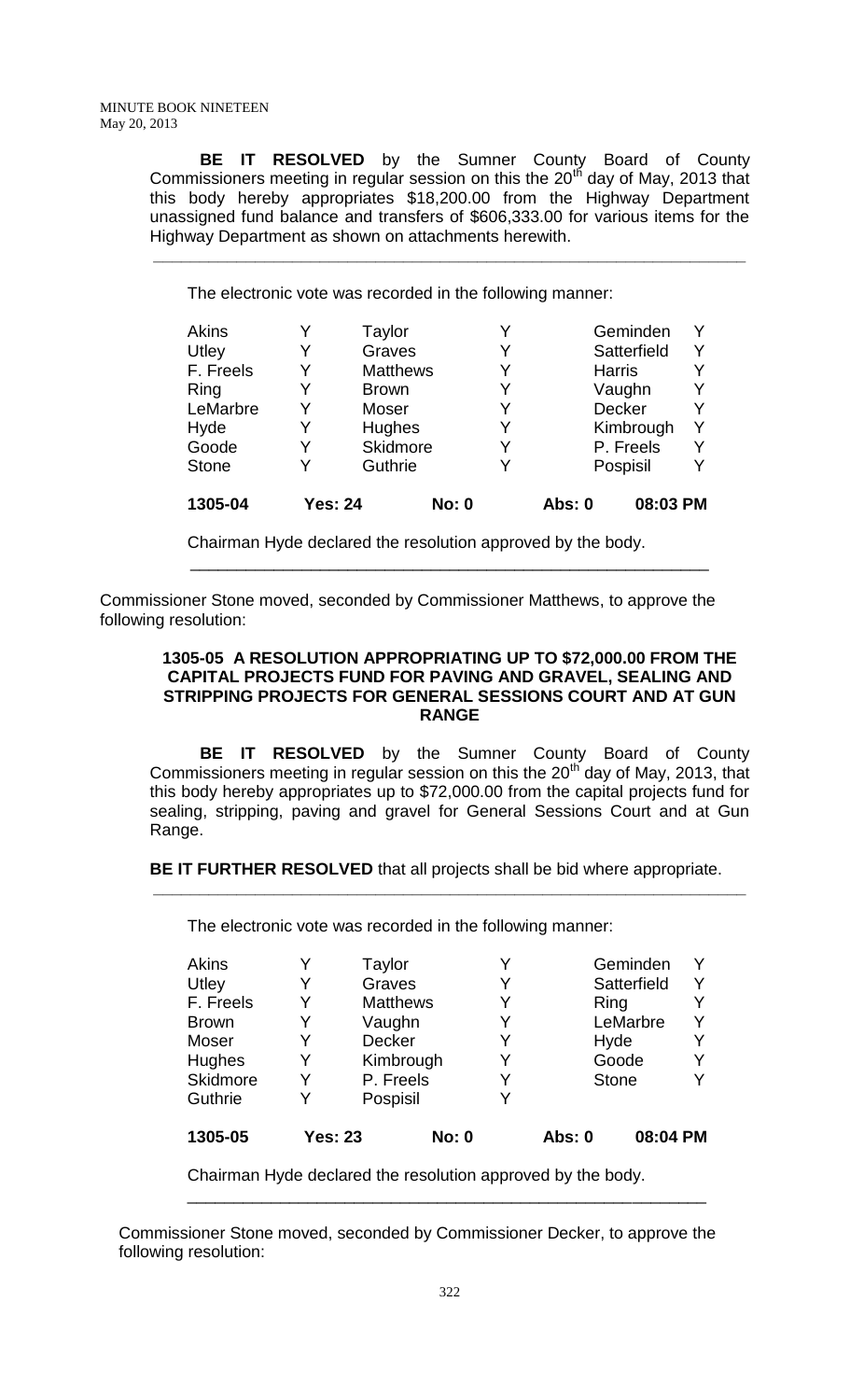**BE IT RESOLVED** by the Sumner County Board of County Commissioners meeting in regular session on this the  $20<sup>th</sup>$  day of May, 2013 that this body hereby appropriates \$18,200.00 from the Highway Department unassigned fund balance and transfers of \$606,333.00 for various items for the Highway Department as shown on attachments herewith.

**\_\_\_\_\_\_\_\_\_\_\_\_\_\_\_\_\_\_\_\_\_\_\_\_\_\_\_\_\_\_\_\_\_\_\_\_\_\_\_\_\_\_\_\_\_\_\_\_\_\_\_\_\_\_\_\_\_\_\_\_\_\_\_\_**

The electronic vote was recorded in the following manner:

| Akins        |                | Taylor          |                 |  |               | Geminden      | Y |
|--------------|----------------|-----------------|-----------------|--|---------------|---------------|---|
| Utley        | Y              | Graves          |                 |  |               | Satterfield   |   |
| F. Freels    | Y              |                 | <b>Matthews</b> |  |               | <b>Harris</b> |   |
| Ring         | Y              | <b>Brown</b>    |                 |  |               | Vaughn        | Y |
| LeMarbre     | Y              | Moser           |                 |  | <b>Decker</b> |               |   |
| Hyde         | Y              | Hughes          |                 |  |               | Kimbrough     |   |
| Goode        | Y              | <b>Skidmore</b> |                 |  | P. Freels     |               | Υ |
| <b>Stone</b> |                | Guthrie         |                 |  |               | Pospisil      |   |
| 1305-04      | <b>Yes: 24</b> |                 | <b>No: 0</b>    |  | <b>Abs: 0</b> | 08:03 PM      |   |

Chairman Hyde declared the resolution approved by the body.

Commissioner Stone moved, seconded by Commissioner Matthews, to approve the following resolution:

## **1305-05 A RESOLUTION APPROPRIATING UP TO \$72,000.00 FROM THE CAPITAL PROJECTS FUND FOR PAVING AND GRAVEL, SEALING AND STRIPPING PROJECTS FOR GENERAL SESSIONS COURT AND AT GUN RANGE**

\_\_\_\_\_\_\_\_\_\_\_\_\_\_\_\_\_\_\_\_\_\_\_\_\_\_\_\_\_\_\_\_\_\_\_\_\_\_\_\_\_\_\_\_\_\_\_\_\_\_\_\_\_\_\_\_

**BE IT RESOLVED** by the Sumner County Board of County Commissioners meeting in regular session on this the  $20<sup>th</sup>$  day of May, 2013, that this body hereby appropriates up to \$72,000.00 from the capital projects fund for sealing, stripping, paving and gravel for General Sessions Court and at Gun Range.

**BE IT FURTHER RESOLVED** that all projects shall be bid where appropriate.

**\_\_\_\_\_\_\_\_\_\_\_\_\_\_\_\_\_\_\_\_\_\_\_\_\_\_\_\_\_\_\_\_\_\_\_\_\_\_\_\_\_\_\_\_\_\_\_\_\_\_\_\_\_\_\_\_\_\_\_\_\_\_\_\_**

The electronic vote was recorded in the following manner:

| <b>Akins</b>    |                | Taylor        |                 |   |               | Geminden     |  |
|-----------------|----------------|---------------|-----------------|---|---------------|--------------|--|
| Utley           | Y              |               | Graves          |   |               | Satterfield  |  |
| F. Freels       | Y              |               | <b>Matthews</b> |   |               | Ring         |  |
| <b>Brown</b>    | Y              |               | Vaughn          |   |               | LeMarbre     |  |
| Moser           | Y              | <b>Decker</b> |                 | Y |               | Hyde         |  |
| <b>Hughes</b>   | Y              | Kimbrough     |                 | Y |               | Goode        |  |
| <b>Skidmore</b> | Y              | P. Freels     |                 |   |               | <b>Stone</b> |  |
| Guthrie         | Y              | Pospisil      |                 |   |               |              |  |
| 1305-05         | <b>Yes: 23</b> |               | <b>No: 0</b>    |   | <b>Abs: 0</b> | 08:04 PM     |  |

Chairman Hyde declared the resolution approved by the body.

Commissioner Stone moved, seconded by Commissioner Decker, to approve the following resolution:

\_\_\_\_\_\_\_\_\_\_\_\_\_\_\_\_\_\_\_\_\_\_\_\_\_\_\_\_\_\_\_\_\_\_\_\_\_\_\_\_\_\_\_\_\_\_\_\_\_\_\_\_\_\_\_\_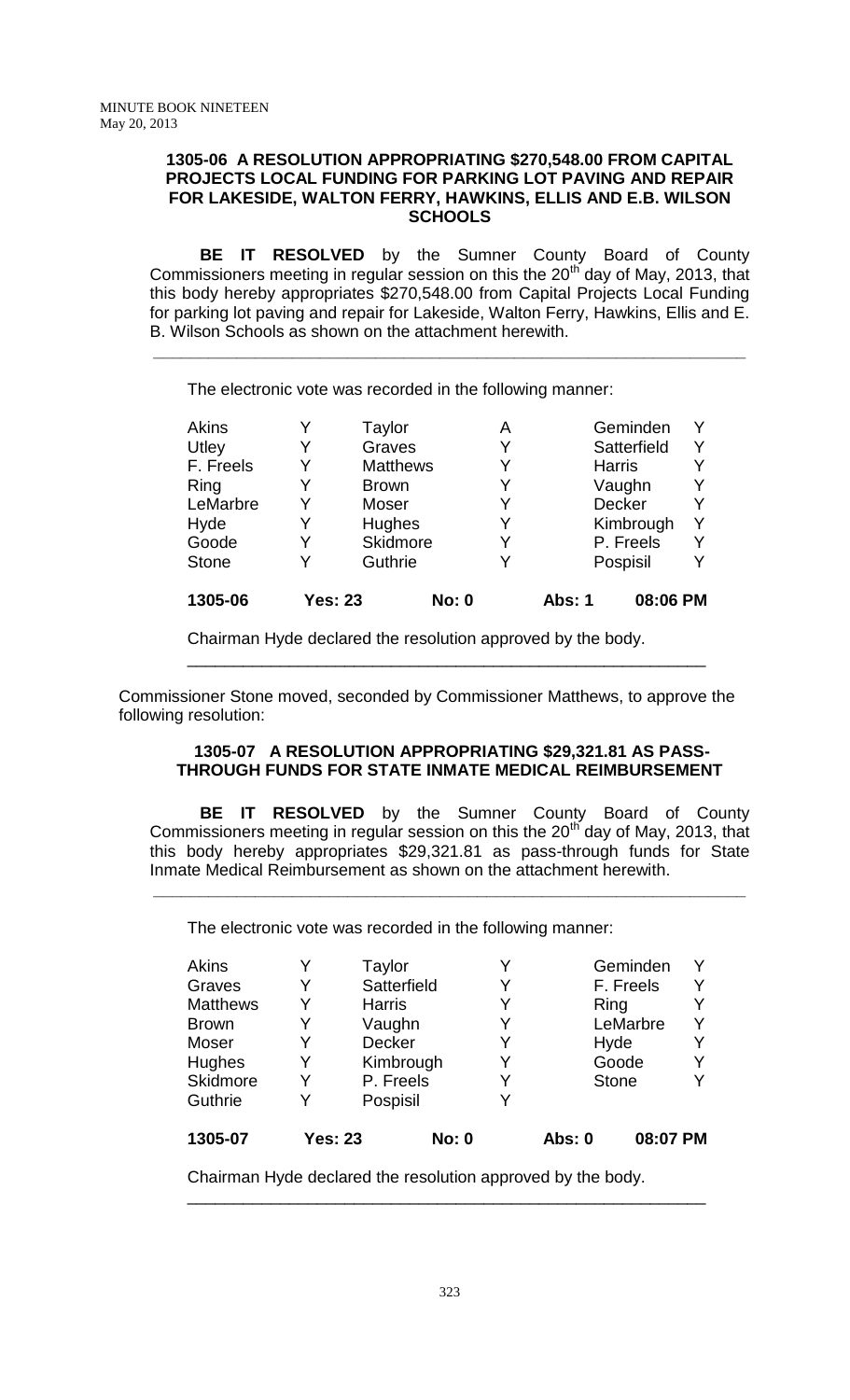#### **1305-06 A RESOLUTION APPROPRIATING \$270,548.00 FROM CAPITAL PROJECTS LOCAL FUNDING FOR PARKING LOT PAVING AND REPAIR FOR LAKESIDE, WALTON FERRY, HAWKINS, ELLIS AND E.B. WILSON SCHOOLS**

**BE IT RESOLVED** by the Sumner County Board of County Commissioners meeting in regular session on this the  $20<sup>th</sup>$  day of May, 2013, that this body hereby appropriates \$270,548.00 from Capital Projects Local Funding for parking lot paving and repair for Lakeside, Walton Ferry, Hawkins, Ellis and E. B. Wilson Schools as shown on the attachment herewith.

**\_\_\_\_\_\_\_\_\_\_\_\_\_\_\_\_\_\_\_\_\_\_\_\_\_\_\_\_\_\_\_\_\_\_\_\_\_\_\_\_\_\_\_\_\_\_\_\_\_\_\_\_\_\_\_\_\_\_\_\_\_\_\_\_**

The electronic vote was recorded in the following manner:

| <b>Akins</b>              |   | Taylor          |              | Α | Geminden      |           |   |
|---------------------------|---|-----------------|--------------|---|---------------|-----------|---|
| Utley                     | Y | Graves          |              |   | Satterfield   |           | Y |
| F. Freels                 | Y | <b>Matthews</b> |              |   | <b>Harris</b> |           |   |
| Ring                      | Y | <b>Brown</b>    |              |   | Vaughn        |           |   |
| LeMarbre                  | Y | Moser           |              |   | Decker        |           |   |
| Hyde                      | Y | Hughes          |              | Y | Kimbrough     |           | Υ |
| Goode                     | Y | Skidmore        |              | Y |               | P. Freels |   |
| <b>Stone</b>              | Y | Guthrie         |              |   |               | Pospisil  |   |
| 1305-06<br><b>Yes: 23</b> |   |                 | <b>No: 0</b> |   | Abs: 1        | 08:06 PM  |   |

Chairman Hyde declared the resolution approved by the body.

Commissioner Stone moved, seconded by Commissioner Matthews, to approve the following resolution:

## **1305-07 A RESOLUTION APPROPRIATING \$29,321.81 AS PASS-THROUGH FUNDS FOR STATE INMATE MEDICAL REIMBURSEMENT**

\_\_\_\_\_\_\_\_\_\_\_\_\_\_\_\_\_\_\_\_\_\_\_\_\_\_\_\_\_\_\_\_\_\_\_\_\_\_\_\_\_\_\_\_\_\_\_\_\_\_\_\_\_\_\_\_

**BE IT RESOLVED** by the Sumner County Board of County Commissioners meeting in regular session on this the  $20<sup>th</sup>$  day of May, 2013, that this body hereby appropriates \$29,321.81 as pass-through funds for State Inmate Medical Reimbursement as shown on the attachment herewith.

**\_\_\_\_\_\_\_\_\_\_\_\_\_\_\_\_\_\_\_\_\_\_\_\_\_\_\_\_\_\_\_\_\_\_\_\_\_\_\_\_\_\_\_\_\_\_\_\_\_\_\_\_\_\_\_\_\_\_\_\_\_\_\_\_**

The electronic vote was recorded in the following manner:

| <b>Akins</b>    | Y              | Taylor        |              |   | Geminden      |          |  |
|-----------------|----------------|---------------|--------------|---|---------------|----------|--|
| Graves          | Y              |               | Satterfield  |   | F. Freels     |          |  |
| <b>Matthews</b> | Y              | <b>Harris</b> |              |   | Ring          |          |  |
| <b>Brown</b>    | Y              | Vaughn        |              | Y | LeMarbre      |          |  |
| Moser           | Y              | Decker        |              | Y | Hyde          |          |  |
| <b>Hughes</b>   | Y              | Kimbrough     |              | Y | Goode         |          |  |
| <b>Skidmore</b> | Y              | P. Freels     |              |   | <b>Stone</b>  |          |  |
| Guthrie         | Y              | Pospisil      |              |   |               |          |  |
| 1305-07         | <b>Yes: 23</b> |               | <b>No: 0</b> |   | <b>Abs: 0</b> | 08:07 PM |  |

Chairman Hyde declared the resolution approved by the body.

\_\_\_\_\_\_\_\_\_\_\_\_\_\_\_\_\_\_\_\_\_\_\_\_\_\_\_\_\_\_\_\_\_\_\_\_\_\_\_\_\_\_\_\_\_\_\_\_\_\_\_\_\_\_\_\_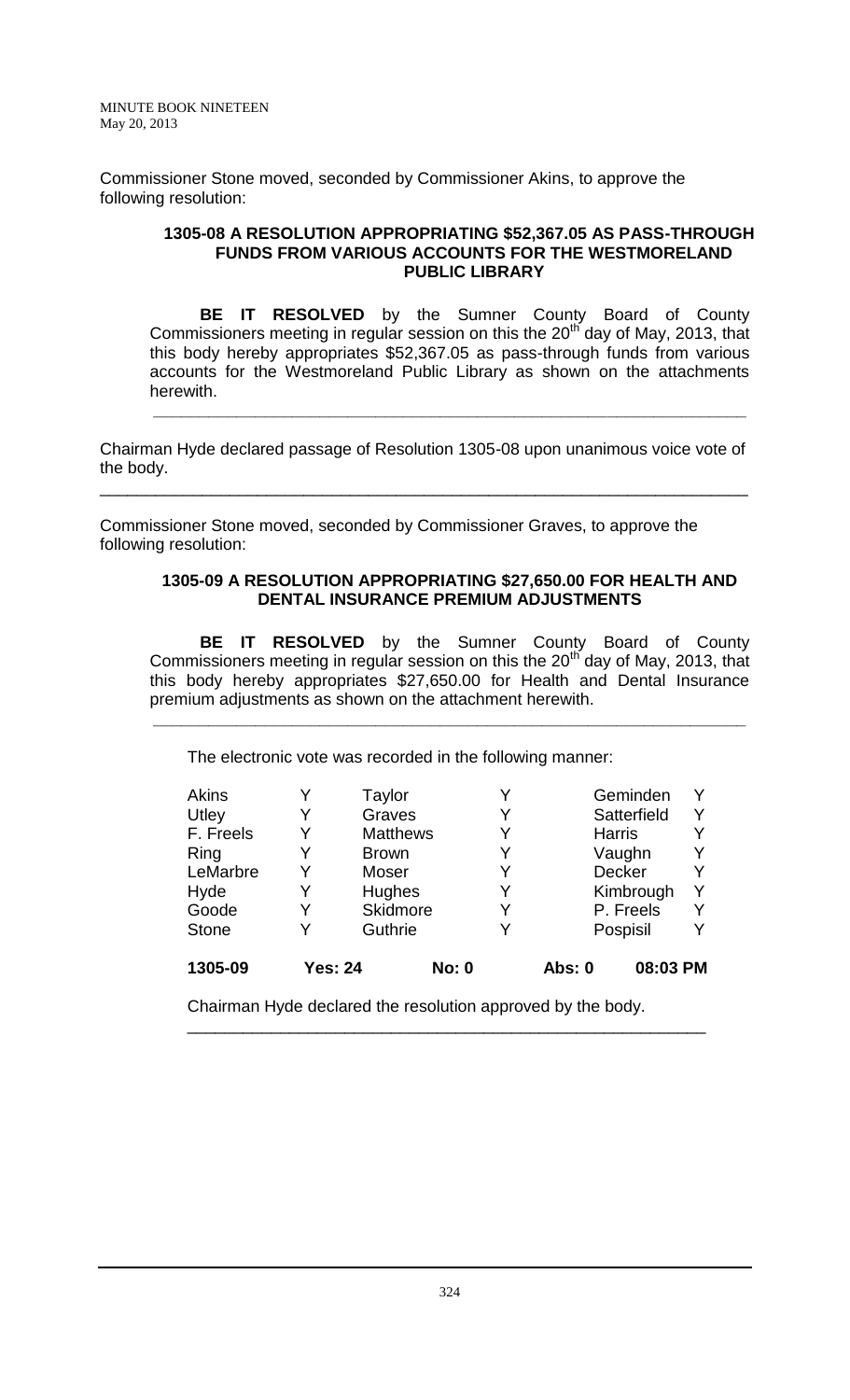Commissioner Stone moved, seconded by Commissioner Akins, to approve the following resolution:

#### **1305-08 A RESOLUTION APPROPRIATING \$52,367.05 AS PASS-THROUGH FUNDS FROM VARIOUS ACCOUNTS FOR THE WESTMORELAND PUBLIC LIBRARY**

**BE IT RESOLVED** by the Sumner County Board of County Commissioners meeting in regular session on this the 20<sup>th</sup> day of May, 2013, that this body hereby appropriates \$52,367.05 as pass-through funds from various accounts for the Westmoreland Public Library as shown on the attachments herewith.

**\_\_\_\_\_\_\_\_\_\_\_\_\_\_\_\_\_\_\_\_\_\_\_\_\_\_\_\_\_\_\_\_\_\_\_\_\_\_\_\_\_\_\_\_\_\_\_\_\_\_\_\_\_\_\_\_\_\_\_\_\_\_\_\_**

Chairman Hyde declared passage of Resolution 1305-08 upon unanimous voice vote of the body.

\_\_\_\_\_\_\_\_\_\_\_\_\_\_\_\_\_\_\_\_\_\_\_\_\_\_\_\_\_\_\_\_\_\_\_\_\_\_\_\_\_\_\_\_\_\_\_\_\_\_\_\_\_\_\_\_\_\_\_\_\_\_\_\_\_\_\_\_\_\_

Commissioner Stone moved, seconded by Commissioner Graves, to approve the following resolution:

#### **1305-09 A RESOLUTION APPROPRIATING \$27,650.00 FOR HEALTH AND DENTAL INSURANCE PREMIUM ADJUSTMENTS**

**BE IT RESOLVED** by the Sumner County Board of County Commissioners meeting in regular session on this the  $20<sup>th</sup>$  day of May, 2013, that this body hereby appropriates \$27,650.00 for Health and Dental Insurance premium adjustments as shown on the attachment herewith.

**\_\_\_\_\_\_\_\_\_\_\_\_\_\_\_\_\_\_\_\_\_\_\_\_\_\_\_\_\_\_\_\_\_\_\_\_\_\_\_\_\_\_\_\_\_\_\_\_\_\_\_\_\_\_\_\_\_\_\_\_\_\_\_\_**

The electronic vote was recorded in the following manner:

| <b>Akins</b> |                | <b>Taylor</b>   |               | Y |               | Geminden      |   |
|--------------|----------------|-----------------|---------------|---|---------------|---------------|---|
| Utley        |                | Graves          |               | Y | Satterfield   |               | Y |
| F. Freels    | Y              | <b>Matthews</b> |               | Y |               | <b>Harris</b> |   |
| Ring         | Y              | <b>Brown</b>    |               | Y | Vaughn        |               |   |
| LeMarbre     | Y              | Moser           |               | Y | Decker        |               |   |
| Hyde         | Y              | Hughes          |               | Y | Kimbrough     |               | Υ |
| Goode        | Y              | Skidmore        |               | Y |               | P. Freels     |   |
| <b>Stone</b> | Y              | Guthrie         | Pospisil<br>Y |   |               |               |   |
| 1305-09      | <b>Yes: 24</b> |                 | <b>No: 0</b>  |   | <b>Abs: 0</b> | 08:03 PM      |   |

\_\_\_\_\_\_\_\_\_\_\_\_\_\_\_\_\_\_\_\_\_\_\_\_\_\_\_\_\_\_\_\_\_\_\_\_\_\_\_\_\_\_\_\_\_\_\_\_\_\_\_\_\_\_\_\_

Chairman Hyde declared the resolution approved by the body.